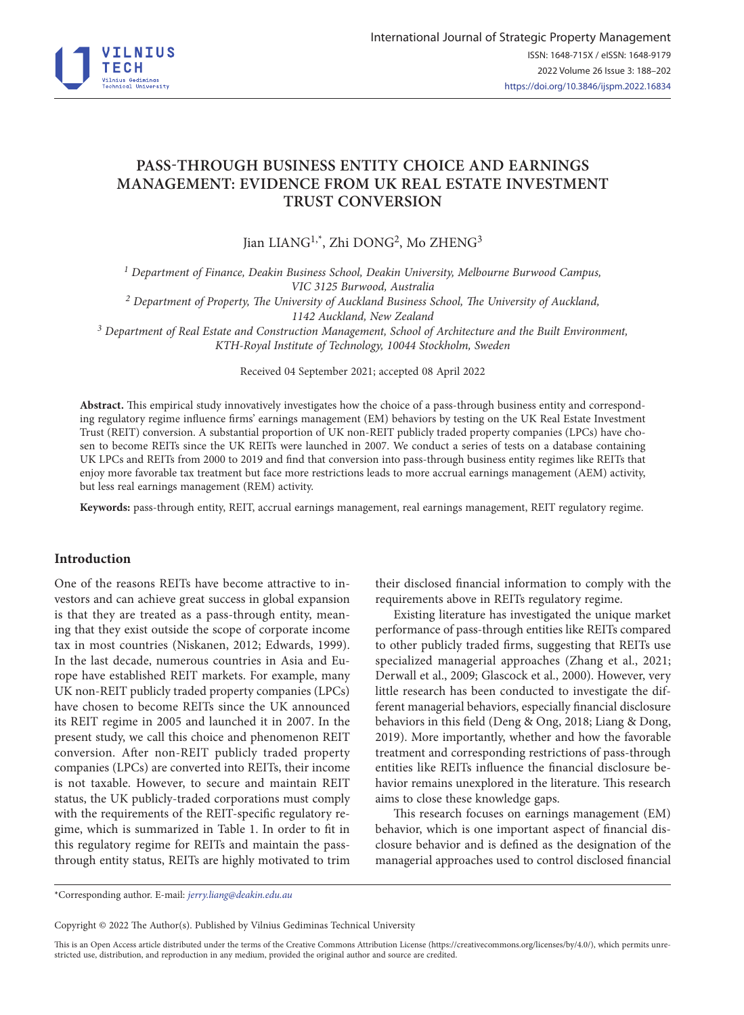

# **PASS-THROUGH BUSINESS ENTITY CHOICE AND EARNINGS MANAGEMENT: EVIDENCE FROM UK REAL ESTATE INVESTMENT TRUST CONVERSION**

Jian LIANG<sup>1,\*</sup>, Zhi DONG<sup>2</sup>, Mo ZHENG<sup>3</sup>

*1 Department of Finance, Deakin Business School, Deakin University, Melbourne Burwood Campus, VIC 3125 Burwood, Australia 2 Department of Property, The University of Auckland Business School, The University of Auckland,* 

*1142 Auckland, New Zealand*

*3 Department of Real Estate and Construction Management, School of Architecture and the Built Environment, KTH-Royal Institute of Technology, 10044 Stockholm, Sweden*

Received 04 September 2021; accepted 08 April 2022

**Abstract.** This empirical study innovatively investigates how the choice of a pass-through business entity and corresponding regulatory regime influence firms' earnings management (EM) behaviors by testing on the UK Real Estate Investment Trust (REIT) conversion. A substantial proportion of UK non-REIT publicly traded property companies (LPCs) have chosen to become REITs since the UK REITs were launched in 2007. We conduct a series of tests on a database containing UK LPCs and REITs from 2000 to 2019 and find that conversion into pass-through business entity regimes like REITs that enjoy more favorable tax treatment but face more restrictions leads to more accrual earnings management (AEM) activity, but less real earnings management (REM) activity.

**Keywords:** pass-through entity, REIT, accrual earnings management, real earnings management, REIT regulatory regime.

# **Introduction**

One of the reasons REITs have become attractive to investors and can achieve great success in global expansion is that they are treated as a pass-through entity, meaning that they exist outside the scope of corporate income tax in most countries (Niskanen, 2012; Edwards, 1999). In the last decade, numerous countries in Asia and Europe have established REIT markets. For example, many UK non-REIT publicly traded property companies (LPCs) have chosen to become REITs since the UK announced its REIT regime in 2005 and launched it in 2007. In the present study, we call this choice and phenomenon REIT conversion. After non-REIT publicly traded property companies (LPCs) are converted into REITs, their income is not taxable. However, to secure and maintain REIT status, the UK publicly-traded corporations must comply with the requirements of the REIT-specific regulatory regime, which is summarized in Table 1. In order to fit in this regulatory regime for REITs and maintain the passthrough entity status, REITs are highly motivated to trim their disclosed financial information to comply with the requirements above in REITs regulatory regime.

Existing literature has investigated the unique market performance of pass-through entities like REITs compared to other publicly traded firms, suggesting that REITs use specialized managerial approaches (Zhang et al., 2021; Derwall et al., 2009; Glascock et al., 2000). However, very little research has been conducted to investigate the different managerial behaviors, especially financial disclosure behaviors in this field (Deng & Ong, 2018; Liang & Dong, 2019). More importantly, whether and how the favorable treatment and corresponding restrictions of pass-through entities like REITs influence the financial disclosure behavior remains unexplored in the literature. This research aims to close these knowledge gaps.

This research focuses on earnings management (EM) behavior, which is one important aspect of financial disclosure behavior and is defined as the designation of the managerial approaches used to control disclosed financial

\*Corresponding author. E-mail: *[jerry.liang@deakin.edu.au](mailto:jerry.liang@deakin.edu.au)*

Copyright © 2022 The Author(s). Published by Vilnius Gediminas Technical University

This is an Open Access article distributed under the terms of the Creative Commons Attribution License [\(https://creativecommons.org/licenses/by/4.0/\)](http://creativecommons.org/licenses/by/4.0/), which permits unrestricted use, distribution, and reproduction in any medium, provided the original author and source are credited.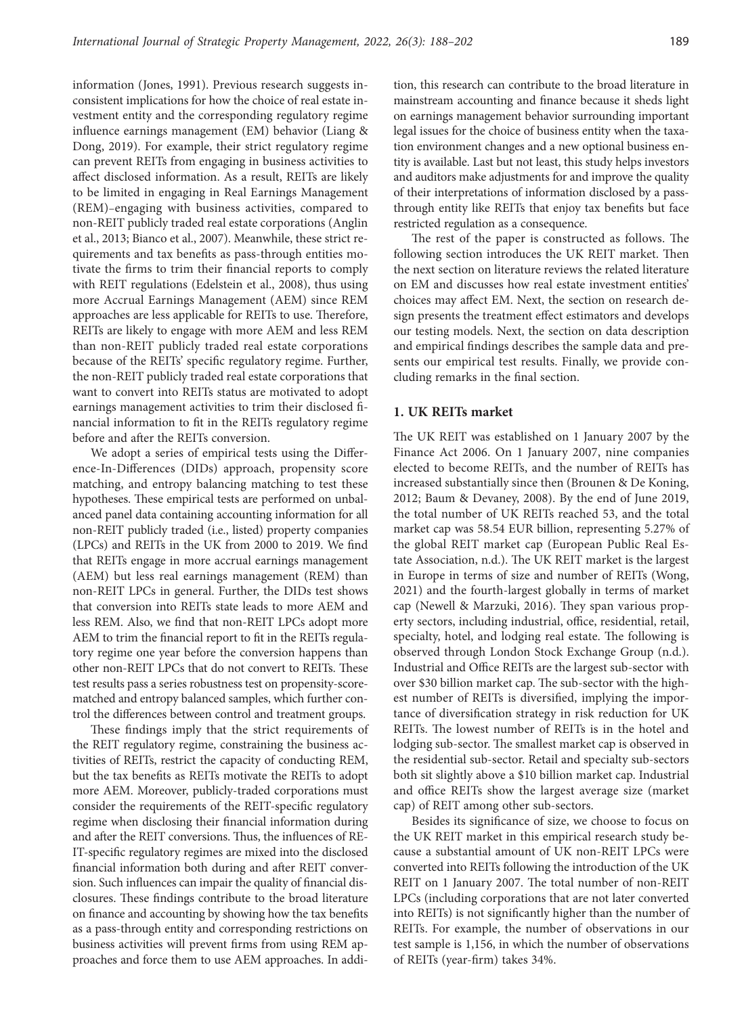information (Jones, 1991). Previous research suggests inconsistent implications for how the choice of real estate investment entity and the corresponding regulatory regime influence earnings management (EM) behavior (Liang & Dong, 2019). For example, their strict regulatory regime can prevent REITs from engaging in business activities to affect disclosed information. As a result, REITs are likely to be limited in engaging in Real Earnings Management (REM)–engaging with business activities, compared to non-REIT publicly traded real estate corporations (Anglin et al., 2013; Bianco et al., 2007). Meanwhile, these strict requirements and tax benefits as pass-through entities motivate the firms to trim their financial reports to comply with REIT regulations (Edelstein et al., 2008), thus using more Accrual Earnings Management (AEM) since REM approaches are less applicable for REITs to use. Therefore, REITs are likely to engage with more AEM and less REM than non-REIT publicly traded real estate corporations because of the REITs' specific regulatory regime. Further, the non-REIT publicly traded real estate corporations that want to convert into REITs status are motivated to adopt earnings management activities to trim their disclosed financial information to fit in the REITs regulatory regime before and after the REITs conversion.

We adopt a series of empirical tests using the Difference-In-Differences (DIDs) approach, propensity score matching, and entropy balancing matching to test these hypotheses. These empirical tests are performed on unbalanced panel data containing accounting information for all non-REIT publicly traded (i.e., listed) property companies (LPCs) and REITs in the UK from 2000 to 2019. We find that REITs engage in more accrual earnings management (AEM) but less real earnings management (REM) than non-REIT LPCs in general. Further, the DIDs test shows that conversion into REITs state leads to more AEM and less REM. Also, we find that non-REIT LPCs adopt more AEM to trim the financial report to fit in the REITs regulatory regime one year before the conversion happens than other non-REIT LPCs that do not convert to REITs. These test results pass a series robustness test on propensity-scorematched and entropy balanced samples, which further control the differences between control and treatment groups.

These findings imply that the strict requirements of the REIT regulatory regime, constraining the business activities of REITs, restrict the capacity of conducting REM, but the tax benefits as REITs motivate the REITs to adopt more AEM. Moreover, publicly-traded corporations must consider the requirements of the REIT-specific regulatory regime when disclosing their financial information during and after the REIT conversions. Thus, the influences of RE-IT-specific regulatory regimes are mixed into the disclosed financial information both during and after REIT conversion. Such influences can impair the quality of financial disclosures. These findings contribute to the broad literature on finance and accounting by showing how the tax benefits as a pass-through entity and corresponding restrictions on business activities will prevent firms from using REM approaches and force them to use AEM approaches. In addition, this research can contribute to the broad literature in mainstream accounting and finance because it sheds light on earnings management behavior surrounding important legal issues for the choice of business entity when the taxation environment changes and a new optional business entity is available. Last but not least, this study helps investors and auditors make adjustments for and improve the quality of their interpretations of information disclosed by a passthrough entity like REITs that enjoy tax benefits but face restricted regulation as a consequence.

The rest of the paper is constructed as follows. The following section introduces the UK REIT market. Then the next section on literature reviews the related literature on EM and discusses how real estate investment entities' choices may affect EM. Next, the section on research design presents the treatment effect estimators and develops our testing models. Next, the section on data description and empirical findings describes the sample data and presents our empirical test results. Finally, we provide concluding remarks in the final section.

#### **1. UK REITs market**

The UK REIT was established on 1 January 2007 by the Finance Act 2006. On 1 January 2007, nine companies elected to become REITs, and the number of REITs has increased substantially since then (Brounen & De Koning, 2012; Baum & Devaney, 2008). By the end of June 2019, the total number of UK REITs reached 53, and the total market cap was 58.54 EUR billion, representing 5.27% of the global REIT market cap (European Public Real Estate Association, n.d.). The UK REIT market is the largest in Europe in terms of size and number of REITs (Wong, 2021) and the fourth-largest globally in terms of market cap (Newell & Marzuki, 2016). They span various property sectors, including industrial, office, residential, retail, specialty, hotel, and lodging real estate. The following is observed through London Stock Exchange Group (n.d.). Industrial and Office REITs are the largest sub-sector with over \$30 billion market cap. The sub-sector with the highest number of REITs is diversified, implying the importance of diversification strategy in risk reduction for UK REITs. The lowest number of REITs is in the hotel and lodging sub-sector. The smallest market cap is observed in the residential sub-sector. Retail and specialty sub-sectors both sit slightly above a \$10 billion market cap. Industrial and office REITs show the largest average size (market cap) of REIT among other sub-sectors.

Besides its significance of size, we choose to focus on the UK REIT market in this empirical research study because a substantial amount of UK non-REIT LPCs were converted into REITs following the introduction of the UK REIT on 1 January 2007. The total number of non-REIT LPCs (including corporations that are not later converted into REITs) is not significantly higher than the number of REITs. For example, the number of observations in our test sample is 1,156, in which the number of observations of REITs (year-firm) takes 34%.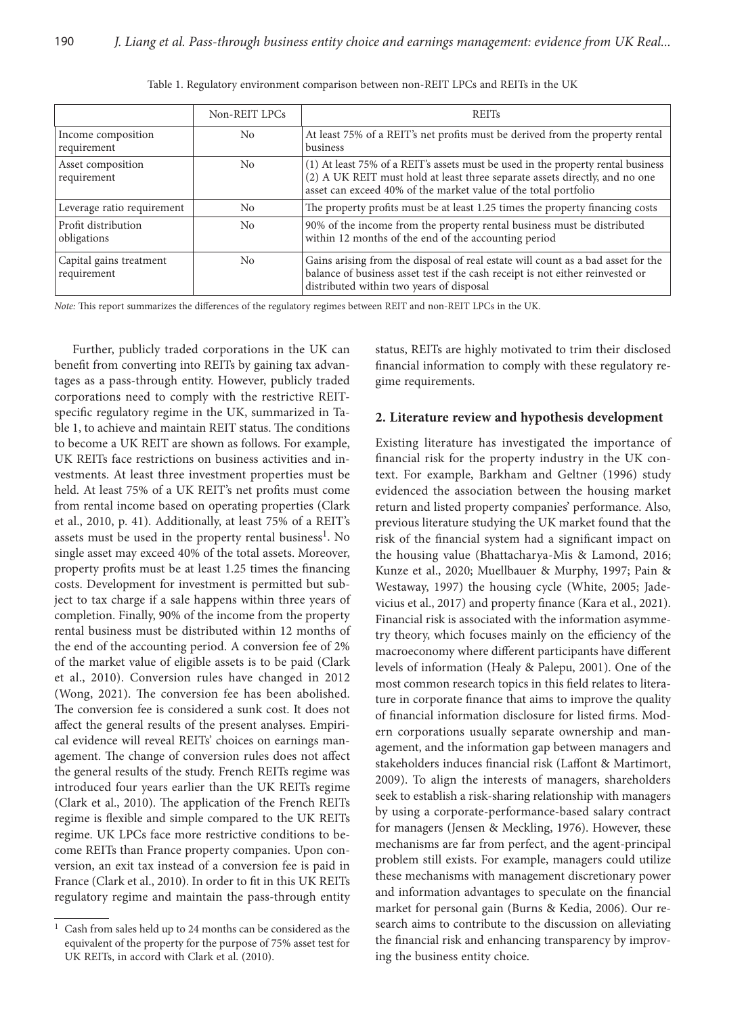|                                        | Non-REIT LPCs  | <b>REITs</b>                                                                                                                                                                                                                       |
|----------------------------------------|----------------|------------------------------------------------------------------------------------------------------------------------------------------------------------------------------------------------------------------------------------|
| Income composition<br>requirement      | N <sub>0</sub> | At least 75% of a REIT's net profits must be derived from the property rental<br>business                                                                                                                                          |
| Asset composition<br>requirement       | N <sub>0</sub> | (1) At least 75% of a REIT's assets must be used in the property rental business<br>(2) A UK REIT must hold at least three separate assets directly, and no one<br>asset can exceed 40% of the market value of the total portfolio |
| Leverage ratio requirement             | N <sub>0</sub> | The property profits must be at least 1.25 times the property financing costs                                                                                                                                                      |
| Profit distribution<br>obligations     | N <sub>0</sub> | 90% of the income from the property rental business must be distributed<br>within 12 months of the end of the accounting period                                                                                                    |
| Capital gains treatment<br>requirement | No             | Gains arising from the disposal of real estate will count as a bad asset for the<br>balance of business asset test if the cash receipt is not either reinvested or<br>distributed within two years of disposal                     |

Table 1. Regulatory environment comparison between non-REIT LPCs and REITs in the UK

*Note:* This report summarizes the differences of the regulatory regimes between REIT and non-REIT LPCs in the UK.

Further, publicly traded corporations in the UK can benefit from converting into REITs by gaining tax advantages as a pass-through entity. However, publicly traded corporations need to comply with the restrictive REITspecific regulatory regime in the UK, summarized in Table 1, to achieve and maintain REIT status. The conditions to become a UK REIT are shown as follows. For example, UK REITs face restrictions on business activities and investments. At least three investment properties must be held. At least 75% of a UK REIT's net profits must come from rental income based on operating properties (Clark et al., 2010, p. 41). Additionally, at least 75% of a REIT's assets must be used in the property rental business<sup>1</sup>. No single asset may exceed 40% of the total assets. Moreover, property profits must be at least 1.25 times the financing costs. Development for investment is permitted but subject to tax charge if a sale happens within three years of completion. Finally, 90% of the income from the property rental business must be distributed within 12 months of the end of the accounting period. A conversion fee of 2% of the market value of eligible assets is to be paid (Clark et al., 2010). Conversion rules have changed in 2012 (Wong, 2021). The conversion fee has been abolished. The conversion fee is considered a sunk cost. It does not affect the general results of the present analyses. Empirical evidence will reveal REITs' choices on earnings management. The change of conversion rules does not affect the general results of the study. French REITs regime was introduced four years earlier than the UK REITs regime (Clark et al., 2010). The application of the French REITs regime is flexible and simple compared to the UK REITs regime. UK LPCs face more restrictive conditions to become REITs than France property companies. Upon conversion, an exit tax instead of a conversion fee is paid in France (Clark et al., 2010). In order to fit in this UK REITs regulatory regime and maintain the pass-through entity status, REITs are highly motivated to trim their disclosed financial information to comply with these regulatory regime requirements.

### **2. Literature review and hypothesis development**

Existing literature has investigated the importance of financial risk for the property industry in the UK context. For example, Barkham and Geltner (1996) study evidenced the association between the housing market return and listed property companies' performance. Also, previous literature studying the UK market found that the risk of the financial system had a significant impact on the housing value (Bhattacharya-Mis & Lamond, 2016; Kunze et al., 2020; Muellbauer & Murphy, 1997; Pain & Westaway, 1997) the housing cycle (White, 2005; Jadevicius et al., 2017) and property finance (Kara et al., 2021). Financial risk is associated with the information asymmetry theory, which focuses mainly on the efficiency of the macroeconomy where different participants have different levels of information (Healy & Palepu, 2001). One of the most common research topics in this field relates to literature in corporate finance that aims to improve the quality of financial information disclosure for listed firms. Modern corporations usually separate ownership and management, and the information gap between managers and stakeholders induces financial risk (Laffont & Martimort, 2009). To align the interests of managers, shareholders seek to establish a risk-sharing relationship with managers by using a corporate-performance-based salary contract for managers (Jensen & Meckling, 1976). However, these mechanisms are far from perfect, and the agent-principal problem still exists. For example, managers could utilize these mechanisms with management discretionary power and information advantages to speculate on the financial market for personal gain (Burns & Kedia, 2006). Our research aims to contribute to the discussion on alleviating the financial risk and enhancing transparency by improving the business entity choice.

 $1$  Cash from sales held up to 24 months can be considered as the equivalent of the property for the purpose of 75% asset test for UK REITs, in accord with Clark et al. (2010).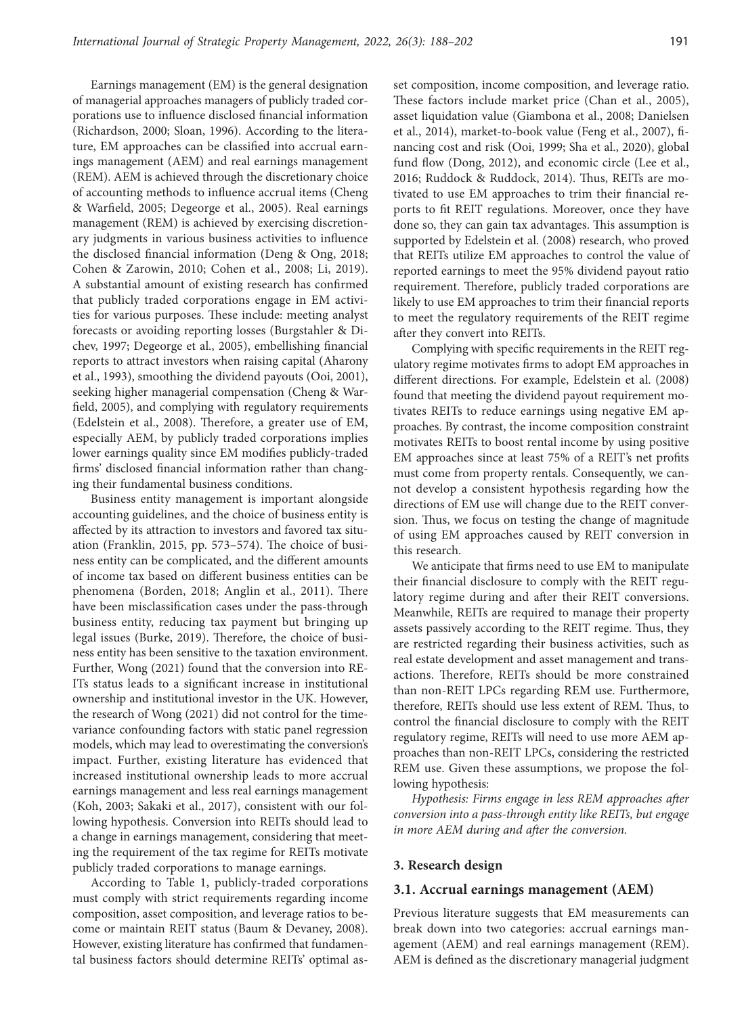Earnings management (EM) is the general designation of managerial approaches managers of publicly traded corporations use to influence disclosed financial information (Richardson, 2000; Sloan, 1996). According to the literature, EM approaches can be classified into accrual earnings management (AEM) and real earnings management (REM). AEM is achieved through the discretionary choice of accounting methods to influence accrual items (Cheng & Warfield, 2005; Degeorge et al., 2005). Real earnings management (REM) is achieved by exercising discretionary judgments in various business activities to influence the disclosed financial information (Deng & Ong, 2018; Cohen & Zarowin, 2010; Cohen et al., 2008; Li, 2019). A substantial amount of existing research has confirmed that publicly traded corporations engage in EM activities for various purposes. These include: meeting analyst forecasts or avoiding reporting losses (Burgstahler & Dichev, 1997; Degeorge et al., 2005), embellishing financial reports to attract investors when raising capital (Aharony et al., 1993), smoothing the dividend payouts (Ooi, 2001), seeking higher managerial compensation (Cheng & Warfield, 2005), and complying with regulatory requirements (Edelstein et al., 2008). Therefore, a greater use of EM, especially AEM, by publicly traded corporations implies lower earnings quality since EM modifies publicly-traded firms' disclosed financial information rather than changing their fundamental business conditions.

Business entity management is important alongside accounting guidelines, and the choice of business entity is affected by its attraction to investors and favored tax situation (Franklin, 2015, pp. 573–574). The choice of business entity can be complicated, and the different amounts of income tax based on different business entities can be phenomena (Borden, 2018; Anglin et al., 2011). There have been misclassification cases under the pass-through business entity, reducing tax payment but bringing up legal issues (Burke, 2019). Therefore, the choice of business entity has been sensitive to the taxation environment. Further, Wong (2021) found that the conversion into RE-ITs status leads to a significant increase in institutional ownership and institutional investor in the UK. However, the research of Wong (2021) did not control for the timevariance confounding factors with static panel regression models, which may lead to overestimating the conversion's impact. Further, existing literature has evidenced that increased institutional ownership leads to more accrual earnings management and less real earnings management (Koh, 2003; Sakaki et al., 2017), consistent with our following hypothesis. Conversion into REITs should lead to a change in earnings management, considering that meeting the requirement of the tax regime for REITs motivate publicly traded corporations to manage earnings.

According to Table 1, publicly-traded corporations must comply with strict requirements regarding income composition, asset composition, and leverage ratios to become or maintain REIT status (Baum & Devaney, 2008). However, existing literature has confirmed that fundamental business factors should determine REITs' optimal as-

set composition, income composition, and leverage ratio. These factors include market price (Chan et al., 2005), asset liquidation value (Giambona et al., 2008; Danielsen et al., 2014), market-to-book value (Feng et al., 2007), financing cost and risk (Ooi, 1999; Sha et al., 2020), global fund flow (Dong, 2012), and economic circle (Lee et al., 2016; Ruddock & Ruddock, 2014). Thus, REITs are motivated to use EM approaches to trim their financial reports to fit REIT regulations. Moreover, once they have done so, they can gain tax advantages. This assumption is supported by Edelstein et al. (2008) research, who proved that REITs utilize EM approaches to control the value of reported earnings to meet the 95% dividend payout ratio requirement. Therefore, publicly traded corporations are likely to use EM approaches to trim their financial reports to meet the regulatory requirements of the REIT regime after they convert into REITs.

Complying with specific requirements in the REIT regulatory regime motivates firms to adopt EM approaches in different directions. For example, Edelstein et al. (2008) found that meeting the dividend payout requirement motivates REITs to reduce earnings using negative EM approaches. By contrast, the income composition constraint motivates REITs to boost rental income by using positive EM approaches since at least 75% of a REIT's net profits must come from property rentals. Consequently, we cannot develop a consistent hypothesis regarding how the directions of EM use will change due to the REIT conversion. Thus, we focus on testing the change of magnitude of using EM approaches caused by REIT conversion in this research.

We anticipate that firms need to use EM to manipulate their financial disclosure to comply with the REIT regulatory regime during and after their REIT conversions. Meanwhile, REITs are required to manage their property assets passively according to the REIT regime. Thus, they are restricted regarding their business activities, such as real estate development and asset management and transactions. Therefore, REITs should be more constrained than non-REIT LPCs regarding REM use. Furthermore, therefore, REITs should use less extent of REM. Thus, to control the financial disclosure to comply with the REIT regulatory regime, REITs will need to use more AEM approaches than non-REIT LPCs, considering the restricted REM use. Given these assumptions, we propose the following hypothesis:

*Hypothesis: Firms engage in less REM approaches after conversion into a pass-through entity like REITs, but engage in more AEM during and after the conversion.*

#### **3. Research design**

#### **3.1. Accrual earnings management (AEM)**

Previous literature suggests that EM measurements can break down into two categories: accrual earnings management (AEM) and real earnings management (REM). AEM is defined as the discretionary managerial judgment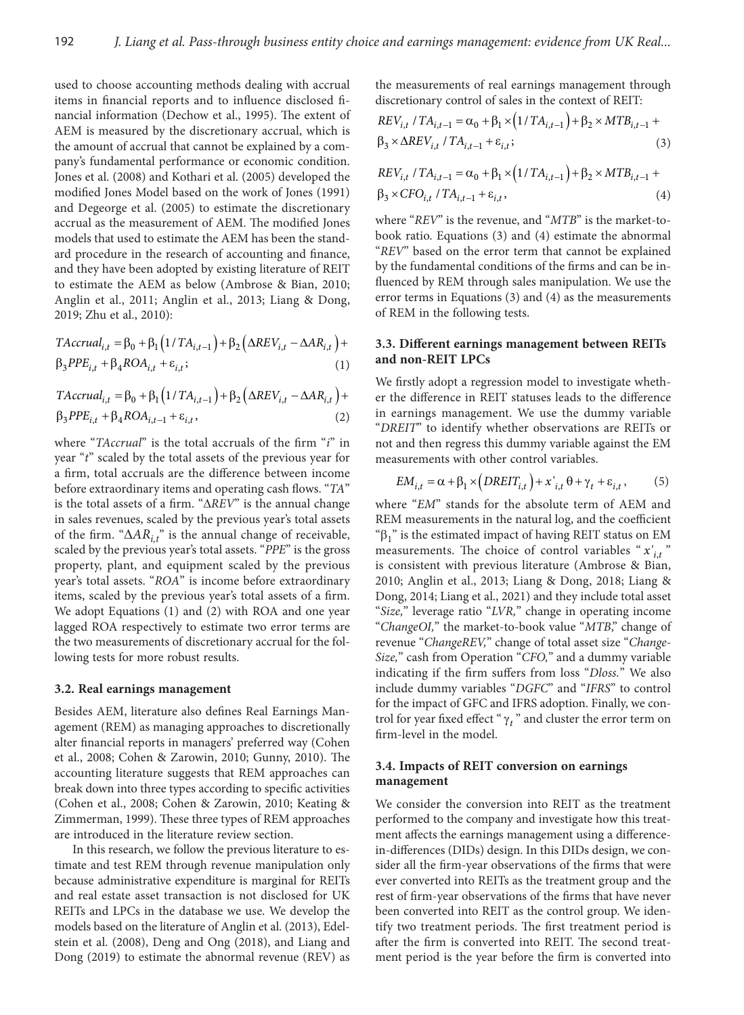used to choose accounting methods dealing with accrual items in financial reports and to influence disclosed financial information (Dechow et al., 1995). The extent of AEM is measured by the discretionary accrual, which is the amount of accrual that cannot be explained by a company's fundamental performance or economic condition. Jones et al. (2008) and Kothari et al. (2005) developed the modified Jones Model based on the work of Jones (1991) and Degeorge et al. (2005) to estimate the discretionary accrual as the measurement of AEM. The modified Jones models that used to estimate the AEM has been the standard procedure in the research of accounting and finance, and they have been adopted by existing literature of REIT to estimate the AEM as below (Ambrose & Bian, 2010; Anglin et al., 2011; Anglin et al., 2013; Liang & Dong, 2019; Zhu et al., 2010):

$$
TAccrual_{i,t} = \beta_0 + \beta_1 \left( 1/TA_{i,t-1} \right) + \beta_2 \left( \Delta REV_{i,t} - \Delta AR_{i,t} \right) +
$$
  
\n
$$
\beta_3 PPE_{i,t} + \beta_4 ROA_{i,t} + \varepsilon_{i,t};
$$
\n(1)

 $TAccrual_{i,t} = \beta_0 + \beta_1 (1/TA_{i,t-1}) + \beta_2 (\Delta REV_{i,t} - \Delta AR_{i,t}) +$  $\beta_3 PPE_{i,t} + \beta_4 ROA_{i,t-1} + \varepsilon_{i,t}$ , (2)

where "*TAccrual*" is the total accruals of the firm "*i*" in year "*t*" scaled by the total assets of the previous year for a firm, total accruals are the difference between income before extraordinary items and operating cash flows. "*TA*" is the total assets of a firm. "Δ*REV*" is the annual change in sales revenues, scaled by the previous year's total assets of the firm. "∆*ARi,t*" is the annual change of receivable, scaled by the previous year's total assets. "*PPE*" is the gross property, plant, and equipment scaled by the previous year's total assets. "*ROA*" is income before extraordinary items, scaled by the previous year's total assets of a firm. We adopt Equations (1) and (2) with ROA and one year lagged ROA respectively to estimate two error terms are the two measurements of discretionary accrual for the following tests for more robust results.

#### **3.2. Real earnings management**

Besides AEM, literature also defines Real Earnings Management (REM) as managing approaches to discretionally alter financial reports in managers' preferred way (Cohen et al., 2008; Cohen & Zarowin, 2010; Gunny, 2010). The accounting literature suggests that REM approaches can break down into three types according to specific activities (Cohen et al., 2008; Cohen & Zarowin, 2010; Keating & Zimmerman, 1999). These three types of REM approaches are introduced in the literature review section.

In this research, we follow the previous literature to estimate and test REM through revenue manipulation only because administrative expenditure is marginal for REITs and real estate asset transaction is not disclosed for UK REITs and LPCs in the database we use. We develop the models based on the literature of Anglin et al. (2013), Edelstein et al. (2008), Deng and Ong (2018), and Liang and Dong (2019) to estimate the abnormal revenue (REV) as the measurements of real earnings management through discretionary control of sales in the context of REIT:

$$
REV_{i,t} / TA_{i,t-1} = \alpha_0 + \beta_1 \times (1 / TA_{i,t-1}) + \beta_2 \times MTB_{i,t-1} + \beta_3 \times \Delta REV_{i,t} / TA_{i,t-1} + \varepsilon_{i,t};
$$
\n(3)

$$
REV_{i,t} / TA_{i,t-1} = \alpha_0 + \beta_1 \times (1 / TA_{i,t-1}) + \beta_2 \times MTB_{i,t-1} + \n\beta_3 \times CFO_{i,t} / TA_{i,t-1} + \varepsilon_{i,t},
$$
\n(4)

where "*REV*" is the revenue, and "*MTB*" is the market-tobook ratio. Equations (3) and (4) estimate the abnormal "*REV*" based on the error term that cannot be explained by the fundamental conditions of the firms and can be influenced by REM through sales manipulation. We use the error terms in Equations (3) and (4) as the measurements of REM in the following tests.

# **3.3. Different earnings management between REITs and non-REIT LPCs**

We firstly adopt a regression model to investigate whether the difference in REIT statuses leads to the difference in earnings management. We use the dummy variable "*DREIT*" to identify whether observations are REITs or not and then regress this dummy variable against the EM measurements with other control variables.

$$
EM_{i,t} = \alpha + \beta_1 \times \left( DREIT_{i,t} \right) + x'_{i,t} \theta + \gamma_t + \varepsilon_{i,t}, \tag{5}
$$

where "*EM*" stands for the absolute term of AEM and REM measurements in the natural log, and the coefficient " $β₁$ " is the estimated impact of having REIT status on EM measurements. The choice of control variables " $x'_{i,t}$ " is consistent with previous literature (Ambrose & Bian, 2010; Anglin et al., 2013; Liang & Dong, 2018; Liang & Dong, 2014; Liang et al., 2021) and they include total asset "*Size,*" leverage ratio "*LVR,*" change in operating income "*ChangeOI,*" the market-to-book value "*MTB*," change of revenue "*ChangeREV,*" change of total asset size "*Change-Size,*" cash from Operation "*CFO,*" and a dummy variable indicating if the firm suffers from loss "*Dloss.*" We also include dummy variables "*DGFC*" and "*IFRS*" to control for the impact of GFC and IFRS adoption. Finally, we control for year fixed effect " $\gamma_t$ " and cluster the error term on firm-level in the model.

# **3.4. Impacts of REIT conversion on earnings management**

We consider the conversion into REIT as the treatment performed to the company and investigate how this treatment affects the earnings management using a differencein-differences (DIDs) design. In this DIDs design, we consider all the firm-year observations of the firms that were ever converted into REITs as the treatment group and the rest of firm-year observations of the firms that have never been converted into REIT as the control group. We identify two treatment periods. The first treatment period is after the firm is converted into REIT. The second treatment period is the year before the firm is converted into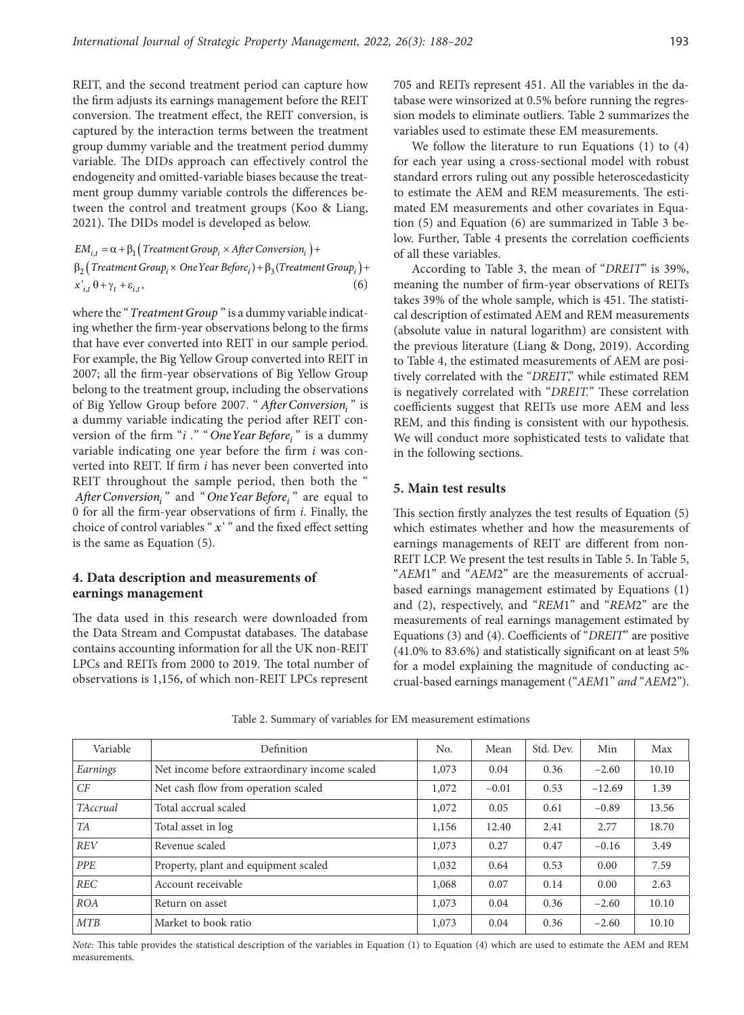REIT, and the second treatment period can capture how the firm adjusts its earnings management before the REIT conversion. The treatment effect, the REIT conversion, is captured by the interaction terms between the treatment group dummy variable and the treatment period dummy variable. The DIDs approach can effectively control the endogeneity and omitted-variable biases because the treatment group dummy variable controls the differences between the control and treatment groups (Koo & Liang, 2021). The DIDs model is developed as below.

 $EM_{i,t} = \alpha + \beta_1 (Treatment Group_i \times After Conversion_i) +$  $\beta_2(\text{Treatment Group}_i \times \text{One Year Before}_i) + \beta_3(\text{Treatment Group}_i) +$  $x'_{i,t} \theta + \gamma_t + \varepsilon_{i,t},$  (6)

where the "*Treatment Group* " is a dummy variable indicating whether the firm-year observations belong to the firms that have ever converted into REIT in our sample period. For example, the Big Yellow Group converted into REIT in 2007; all the firm-year observations of Big Yellow Group belong to the treatment group, including the observations of Big Yellow Group before 2007. " *After Conversioni* " is a dummy variable indicating the period after REIT conversion of the firm "*i* ." " One Year Before<sub>i</sub>" is a dummy variable indicating one year before the firm *i* was converted into REIT. If firm *i* has never been converted into REIT throughout the sample period, then both the " *After Conversion*<sup>"</sup> and "*One Year Before*<sup>"</sup> are equal to 0 for all the firm-year observations of firm *i*. Finally, the choice of control variables " *x* ' " and the fixed effect setting is the same as Equation (5).

# **4. Data description and measurements of earnings management**

The data used in this research were downloaded from the Data Stream and Compustat databases. The database contains accounting information for all the UK non-REIT LPCs and REITs from 2000 to 2019. The total number of observations is 1,156, of which non-REIT LPCs represent

705 and REITs represent 451. All the variables in the database were winsorized at 0.5% before running the regression models to eliminate outliers. Table 2 summarizes the variables used to estimate these EM measurements.

We follow the literature to run Equations (1) to (4) for each year using a cross-sectional model with robust standard errors ruling out any possible heteroscedasticity to estimate the AEM and REM measurements. The estimated EM measurements and other covariates in Equation (5) and Equation (6) are summarized in Table 3 below. Further, Table 4 presents the correlation coefficients of all these variables.

According to Table 3, the mean of "*DREIT*" is 39%, meaning the number of firm-year observations of REITs takes 39% of the whole sample, which is 451. The statistical description of estimated AEM and REM measurements (absolute value in natural logarithm) are consistent with the previous literature (Liang & Dong, 2019). According to Table 4, the estimated measurements of AEM are positively correlated with the "*DREIT*," while estimated REM is negatively correlated with "*DREIT.*" These correlation coefficients suggest that REITs use more AEM and less REM, and this finding is consistent with our hypothesis. We will conduct more sophisticated tests to validate that in the following sections.

# **5. Main test results**

This section firstly analyzes the test results of Equation (5) which estimates whether and how the measurements of earnings managements of REIT are different from non-REIT LCP. We present the test results in Table 5. In Table 5, "*AEM*1" and "*AEM*2" are the measurements of accrualbased earnings management estimated by Equations (1) and (2), respectively, and "*REM*1" and "*REM*2" are the measurements of real earnings management estimated by Equations (3) and (4). Coefficients of "*DREIT*" are positive (41.0% to 83.6%) and statistically significant on at least 5% for a model explaining the magnitude of conducting accrual-based earnings management ("*AEM*1" *and* "*AEM*2").

|  |  | Table 2. Summary of variables for EM measurement estimations |  |
|--|--|--------------------------------------------------------------|--|
|  |  |                                                              |  |

| Variable        | Definition                                    | No.   | Mean    | Std. Dev. | Min      | Max   |
|-----------------|-----------------------------------------------|-------|---------|-----------|----------|-------|
| Earnings        | Net income before extraordinary income scaled | 1,073 | 0.04    | 0.36      | $-2.60$  | 10.10 |
| CF              | Net cash flow from operation scaled           | 1,072 | $-0.01$ | 0.53      | $-12.69$ | 1.39  |
| <b>TAccrual</b> | Total accrual scaled                          | 1,072 | 0.05    | 0.61      | $-0.89$  | 13.56 |
| <b>TA</b>       | Total asset in log                            | 1,156 | 12.40   | 2.41      | 2.77     | 18.70 |
| <b>REV</b>      | Revenue scaled                                | 1,073 | 0.27    | 0.47      | $-0.16$  | 3.49  |
| PPE             | Property, plant and equipment scaled          | 1,032 | 0.64    | 0.53      | 0.00     | 7.59  |
| <b>REC</b>      | Account receivable                            | 1,068 | 0.07    | 0.14      | 0.00     | 2.63  |
| <b>ROA</b>      | Return on asset                               | 1,073 | 0.04    | 0.36      | $-2.60$  | 10.10 |
| MTB             | Market to book ratio                          | 1,073 | 0.04    | 0.36      | $-2.60$  | 10.10 |

*Note:* This table provides the statistical description of the variables in Equation (1) to Equation (4) which are used to estimate the AEM and REM measurements.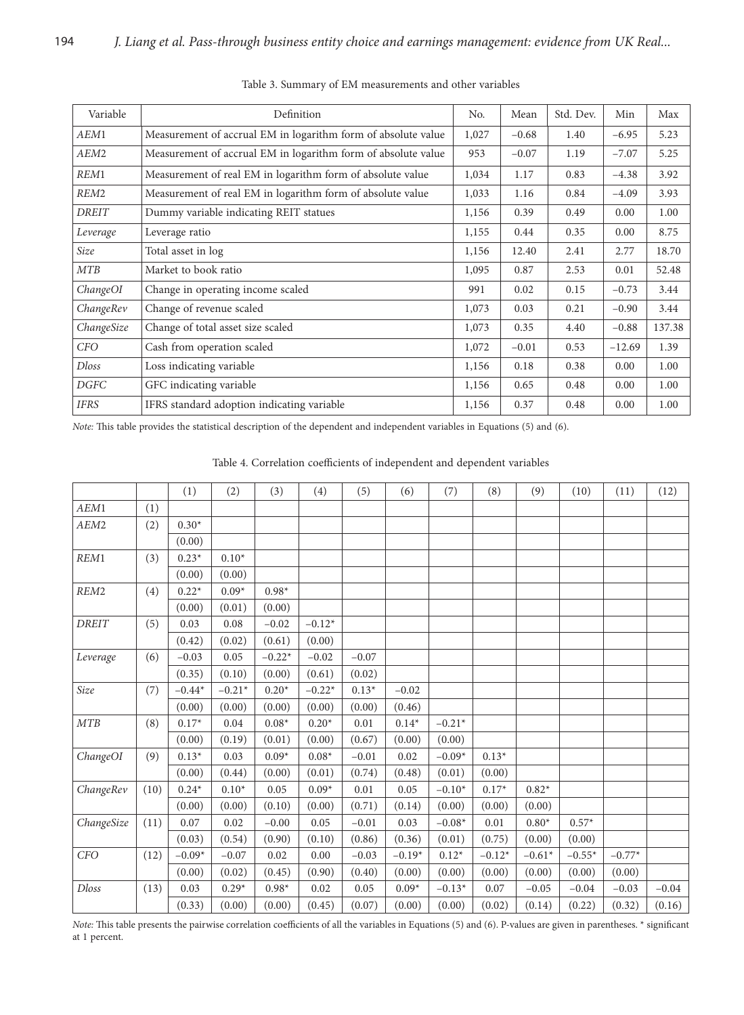| Variable         | Definition                                                    | No.   | Mean    | Std. Dev. | Min      | Max    |
|------------------|---------------------------------------------------------------|-------|---------|-----------|----------|--------|
| AEM1             | Measurement of accrual EM in logarithm form of absolute value | 1,027 | $-0.68$ | 1.40      | $-6.95$  | 5.23   |
| AEM2             | Measurement of accrual EM in logarithm form of absolute value | 953   | $-0.07$ | 1.19      | $-7.07$  | 5.25   |
| REM1             | Measurement of real EM in logarithm form of absolute value    | 1,034 | 1.17    | 0.83      | $-4.38$  | 3.92   |
| REM <sub>2</sub> | Measurement of real EM in logarithm form of absolute value    | 1,033 | 1.16    | 0.84      | $-4.09$  | 3.93   |
| <b>DREIT</b>     | Dummy variable indicating REIT statues                        | 1,156 | 0.39    | 0.49      | 0.00     | 1.00   |
| Leverage         | Leverage ratio                                                | 1,155 | 0.44    | 0.35      | 0.00     | 8.75   |
| Size             | Total asset in log                                            | 1,156 | 12.40   | 2.41      | 2.77     | 18.70  |
| <b>MTB</b>       | Market to book ratio                                          | 1,095 | 0.87    | 2.53      | 0.01     | 52.48  |
| ChangeOI         | Change in operating income scaled                             | 991   | 0.02    | 0.15      | $-0.73$  | 3.44   |
| ChangeRev        | Change of revenue scaled                                      | 1,073 | 0.03    | 0.21      | $-0.90$  | 3.44   |
| ChangeSize       | Change of total asset size scaled                             | 1,073 | 0.35    | 4.40      | $-0.88$  | 137.38 |
| <b>CFO</b>       | Cash from operation scaled                                    | 1,072 | $-0.01$ | 0.53      | $-12.69$ | 1.39   |
| <b>Dloss</b>     | Loss indicating variable                                      | 1,156 | 0.18    | 0.38      | 0.00     | 1.00   |
| DGFC             | GFC indicating variable                                       | 1,156 | 0.65    | 0.48      | 0.00     | 1.00   |
| <b>IFRS</b>      | IFRS standard adoption indicating variable                    | 1,156 | 0.37    | 0.48      | 0.00     | 1.00   |

Table 3. Summary of EM measurements and other variables

*Note:* This table provides the statistical description of the dependent and independent variables in Equations (5) and (6).

 $\Gamma$ 

T

T

| Table 4. Correlation coefficients of independent and dependent variables |  |  |  |  |  |  |  |  |  |  |
|--------------------------------------------------------------------------|--|--|--|--|--|--|--|--|--|--|
| (1) $(2)$ $(3)$ $(4)$ $(5)$ $(6)$ $(7)$ $(8)$ $(9)$ $(10)$ $(11)$ $(12)$ |  |  |  |  |  |  |  |  |  |  |

٦

|              |      | (1)      | (2)      | (3)           | (4)      | (5)     | (6)      | (7)      | (8)      | (9)      | (10)     | (11)     | (12)    |
|--------------|------|----------|----------|---------------|----------|---------|----------|----------|----------|----------|----------|----------|---------|
| AEM1         | (1)  |          |          |               |          |         |          |          |          |          |          |          |         |
| AEM2         | (2)  | $0.30*$  |          |               |          |         |          |          |          |          |          |          |         |
|              |      | (0.00)   |          |               |          |         |          |          |          |          |          |          |         |
| REM1         | (3)  | $0.23*$  | $0.10*$  |               |          |         |          |          |          |          |          |          |         |
|              |      | (0.00)   | (0.00)   |               |          |         |          |          |          |          |          |          |         |
| REM2         | (4)  | $0.22*$  | $0.09*$  | $0.98^{\ast}$ |          |         |          |          |          |          |          |          |         |
|              |      | (0.00)   | (0.01)   | (0.00)        |          |         |          |          |          |          |          |          |         |
| <b>DREIT</b> | (5)  | 0.03     | 0.08     | $-0.02$       | $-0.12*$ |         |          |          |          |          |          |          |         |
|              |      | (0.42)   | (0.02)   | (0.61)        | (0.00)   |         |          |          |          |          |          |          |         |
| Leverage     | (6)  | $-0.03$  | 0.05     | $-0.22*$      | $-0.02$  | $-0.07$ |          |          |          |          |          |          |         |
|              |      | (0.35)   | (0.10)   | (0.00)        | (0.61)   | (0.02)  |          |          |          |          |          |          |         |
| Size         | (7)  | $-0.44*$ | $-0.21*$ | $0.20*$       | $-0.22*$ | $0.13*$ | $-0.02$  |          |          |          |          |          |         |
|              |      | (0.00)   | (0.00)   | (0.00)        | (0.00)   | (0.00)  | (0.46)   |          |          |          |          |          |         |
| MTB          | (8)  | $0.17*$  | 0.04     | $0.08*$       | $0.20*$  | 0.01    | $0.14*$  | $-0.21*$ |          |          |          |          |         |
|              |      | (0.00)   | (0.19)   | (0.01)        | (0.00)   | (0.67)  | (0.00)   | (0.00)   |          |          |          |          |         |
| ChangeOI     | (9)  | $0.13*$  | 0.03     | $0.09*$       | $0.08*$  | $-0.01$ | 0.02     | $-0.09*$ | $0.13*$  |          |          |          |         |
|              |      | (0.00)   | (0.44)   | (0.00)        | (0.01)   | (0.74)  | (0.48)   | (0.01)   | (0.00)   |          |          |          |         |
| ChangeRev    | (10) | $0.24*$  | $0.10*$  | 0.05          | $0.09*$  | 0.01    | 0.05     | $-0.10*$ | $0.17*$  | $0.82*$  |          |          |         |
|              |      | (0.00)   | (0.00)   | (0.10)        | (0.00)   | (0.71)  | (0.14)   | (0.00)   | (0.00)   | (0.00)   |          |          |         |
| ChangeSize   | (11) | 0.07     | 0.02     | $-0.00$       | 0.05     | $-0.01$ | 0.03     | $-0.08*$ | 0.01     | $0.80*$  | $0.57*$  |          |         |
|              |      | (0.03)   | (0.54)   | (0.90)        | (0.10)   | (0.86)  | (0.36)   | (0.01)   | (0.75)   | (0.00)   | (0.00)   |          |         |
| <b>CFO</b>   | (12) | $-0.09*$ | $-0.07$  | 0.02          | 0.00     | $-0.03$ | $-0.19*$ | $0.12*$  | $-0.12*$ | $-0.61*$ | $-0.55*$ | $-0.77*$ |         |
|              |      | (0.00)   | (0.02)   | (0.45)        | (0.90)   | (0.40)  | (0.00)   | (0.00)   | (0.00)   | (0.00)   | (0.00)   | (0.00)   |         |
| Dloss        | (13) | 0.03     | $0.29*$  | $0.98*$       | 0.02     | 0.05    | $0.09*$  | $-0.13*$ | 0.07     | $-0.05$  | $-0.04$  | $-0.03$  | $-0.04$ |
|              |      | (0.33)   | (0.00)   | (0.00)        | (0.45)   | (0.07)  | (0.00)   | (0.00)   | (0.02)   | (0.14)   | (0.22)   | (0.32)   | (0.16)  |

*Note:* This table presents the pairwise correlation coefficients of all the variables in Equations (5) and (6). P-values are given in parentheses. \* significant at 1 percent.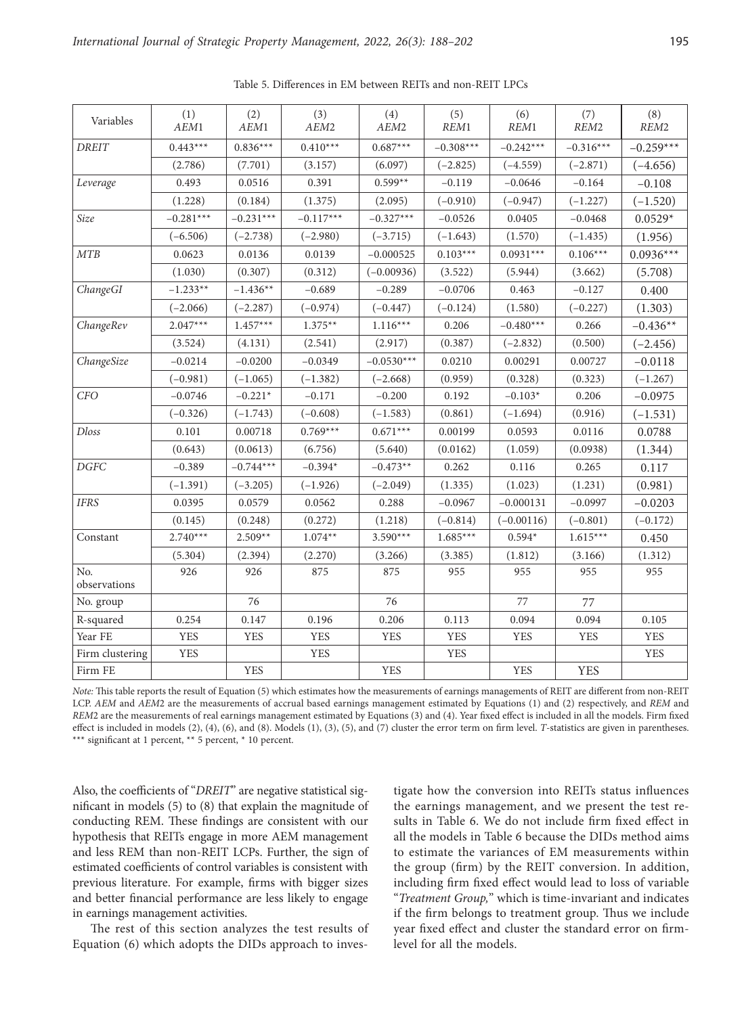| Variables                      | (1)<br>AEM1 | (2)<br>AEM1 | (3)<br>AEM <sub>2</sub> | (4)<br>AEM <sub>2</sub> | (5)<br>REM1 | (6)<br>REM <sub>1</sub> | (7)<br>REM <sub>2</sub> | (8)<br>$\mathcal{R}EM2$ |
|--------------------------------|-------------|-------------|-------------------------|-------------------------|-------------|-------------------------|-------------------------|-------------------------|
| <b>DREIT</b>                   | $0.443***$  | $0.836***$  | $0.410***$              | $0.687***$              | $-0.308***$ | $-0.242***$             | $-0.316***$             | $-0.259***$             |
|                                | (2.786)     | (7.701)     | (3.157)                 | (6.097)                 | $(-2.825)$  | $(-4.559)$              | $(-2.871)$              | $(-4.656)$              |
| Leverage                       | 0.493       | 0.0516      | 0.391                   | $0.599**$               | $-0.119$    | $-0.0646$               | $-0.164$                | $-0.108$                |
|                                | (1.228)     | (0.184)     | (1.375)                 | (2.095)                 | $(-0.910)$  | $(-0.947)$              | $(-1.227)$              | $(-1.520)$              |
| Size                           | $-0.281***$ | $-0.231***$ | $-0.117***$             | $-0.327***$             | $-0.0526$   | 0.0405                  | $-0.0468$               | $0.0529*$               |
|                                | $(-6.506)$  | $(-2.738)$  | $(-2.980)$              | $(-3.715)$              | $(-1.643)$  | (1.570)                 | $(-1.435)$              | (1.956)                 |
| <b>MTB</b>                     | 0.0623      | 0.0136      | 0.0139                  | $-0.000525$             | $0.103***$  | $0.0931***$             | $0.106***$              | $0.0936***$             |
|                                | (1.030)     | (0.307)     | (0.312)                 | $(-0.00936)$            | (3.522)     | (5.944)                 | (3.662)                 | (5.708)                 |
| ChangeGI                       | $-1.233**$  | $-1.436**$  | $-0.689$                | $-0.289$                | $-0.0706$   | 0.463                   | $-0.127$                | 0.400                   |
|                                | $(-2.066)$  | $(-2.287)$  | $(-0.974)$              | $(-0.447)$              | $(-0.124)$  | (1.580)                 | $(-0.227)$              | (1.303)                 |
| ChangeRev                      | $2.047***$  | $1.457***$  | $1.375**$               | $1.116***$              | 0.206       | $-0.480***$             | 0.266                   | $-0.436**$              |
|                                | (3.524)     | (4.131)     | (2.541)                 | (2.917)                 | (0.387)     | $(-2.832)$              | (0.500)                 | $(-2.456)$              |
| ChangeSize                     | $-0.0214$   | $-0.0200$   | $-0.0349$               | $-0.0530***$            | 0.0210      | 0.00291                 | 0.00727                 | $-0.0118$               |
|                                | $(-0.981)$  | $(-1.065)$  | $(-1.382)$              | $(-2.668)$              | (0.959)     | (0.328)                 | (0.323)                 | $(-1.267)$              |
| CFO                            | $-0.0746$   | $-0.221*$   | $-0.171$                | $-0.200$                | 0.192       | $-0.103*$               | 0.206                   | $-0.0975$               |
|                                | $(-0.326)$  | $(-1.743)$  | $(-0.608)$              | $(-1.583)$              | (0.861)     | $(-1.694)$              | (0.916)                 | $(-1.531)$              |
| <b>Dloss</b>                   | 0.101       | 0.00718     | $0.769***$              | $0.671***$              | 0.00199     | 0.0593                  | 0.0116                  | 0.0788                  |
|                                | (0.643)     | (0.0613)    | (6.756)                 | (5.640)                 | (0.0162)    | (1.059)                 | (0.0938)                | (1.344)                 |
| DGFC                           | $-0.389$    | $-0.744***$ | $-0.394*$               | $-0.473**$              | 0.262       | 0.116                   | 0.265                   | 0.117                   |
|                                | $(-1.391)$  | $(-3.205)$  | $(-1.926)$              | $(-2.049)$              | (1.335)     | (1.023)                 | (1.231)                 | (0.981)                 |
| <b>IFRS</b>                    | 0.0395      | 0.0579      | 0.0562                  | 0.288                   | $-0.0967$   | $-0.000131$             | $-0.0997$               | $-0.0203$               |
|                                | (0.145)     | (0.248)     | (0.272)                 | (1.218)                 | $(-0.814)$  | $(-0.00116)$            | $(-0.801)$              | $(-0.172)$              |
| Constant                       | $2.740***$  | $2.509**$   | $1.074**$               | $3.590***$              | $1.685***$  | $0.594*$                | $1.615***$              | 0.450                   |
|                                | (5.304)     | (2.394)     | (2.270)                 | (3.266)                 | (3.385)     | (1.812)                 | (3.166)                 | (1.312)                 |
| N <sub>0</sub><br>observations | 926         | 926         | 875                     | 875                     | 955         | 955                     | 955                     | 955                     |
| No. group                      |             | 76          |                         | 76                      |             | 77                      | 77                      |                         |
| R-squared                      | 0.254       | 0.147       | 0.196                   | 0.206                   | 0.113       | 0.094                   | 0.094                   | 0.105                   |
| Year FE                        | <b>YES</b>  | <b>YES</b>  | <b>YES</b>              | <b>YES</b>              | <b>YES</b>  | <b>YES</b>              | <b>YES</b>              | <b>YES</b>              |
| Firm clustering                | <b>YES</b>  |             | <b>YES</b>              |                         | <b>YES</b>  |                         |                         | <b>YES</b>              |
| Firm FE                        |             | <b>YES</b>  |                         | <b>YES</b>              |             | <b>YES</b>              | <b>YES</b>              |                         |

Table 5. Differences in EM between REITs and non-REIT LPCs

*Note:* This table reports the result of Equation (5) which estimates how the measurements of earnings managements of REIT are different from non-REIT LCP. *AEM* and *AEM*2 are the measurements of accrual based earnings management estimated by Equations (1) and (2) respectively, and *REM* and *REM*2 are the measurements of real earnings management estimated by Equations (3) and (4). Year fixed effect is included in all the models. Firm fixed effect is included in models (2), (4), (6), and (8). Models (1), (3), (5), and (7) cluster the error term on firm level. *T*-statistics are given in parentheses. \*\*\* significant at 1 percent, \*\* 5 percent, \* 10 percent.

Also, the coefficients of "*DREIT*" are negative statistical significant in models (5) to (8) that explain the magnitude of conducting REM. These findings are consistent with our hypothesis that REITs engage in more AEM management and less REM than non-REIT LCPs. Further, the sign of estimated coefficients of control variables is consistent with previous literature. For example, firms with bigger sizes and better financial performance are less likely to engage in earnings management activities.

The rest of this section analyzes the test results of Equation (6) which adopts the DIDs approach to inves-

tigate how the conversion into REITs status influences the earnings management, and we present the test results in Table 6. We do not include firm fixed effect in all the models in Table 6 because the DIDs method aims to estimate the variances of EM measurements within the group (firm) by the REIT conversion. In addition, including firm fixed effect would lead to loss of variable "*Treatment Group,*" which is time-invariant and indicates if the firm belongs to treatment group. Thus we include year fixed effect and cluster the standard error on firmlevel for all the models.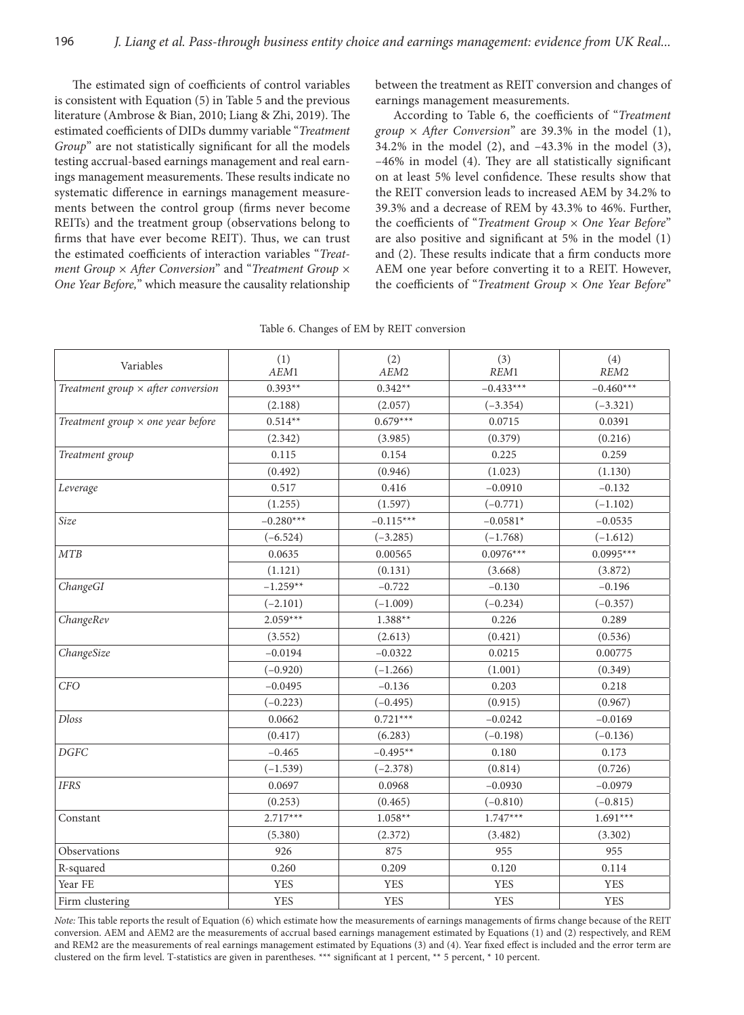The estimated sign of coefficients of control variables is consistent with Equation (5) in Table 5 and the previous literature (Ambrose & Bian, 2010; Liang & Zhi, 2019). The estimated coefficients of DIDs dummy variable "*Treatment Group*" are not statistically significant for all the models testing accrual-based earnings management and real earnings management measurements. These results indicate no systematic difference in earnings management measurements between the control group (firms never become REITs) and the treatment group (observations belong to firms that have ever become REIT). Thus, we can trust the estimated coefficients of interaction variables "*Treatment Group × After Conversion*" and "*Treatment Group × One Year Before,*" which measure the causality relationship

between the treatment as REIT conversion and changes of earnings management measurements.

According to Table 6, the coefficients of "*Treatment group × After Conversion*" are 39.3% in the model (1), 34.2% in the model (2), and –43.3% in the model (3), –46% in model (4). They are all statistically significant on at least 5% level confidence. These results show that the REIT conversion leads to increased AEM by 34.2% to 39.3% and a decrease of REM by 43.3% to 46%. Further, the coefficients of "*Treatment Group × One Year Before*" are also positive and significant at 5% in the model (1) and (2). These results indicate that a firm conducts more AEM one year before converting it to a REIT. However, the coefficients of "*Treatment Group × One Year Before*"

| Variables                                 | (1)         | (2)         | (3)         | (4)         |  |
|-------------------------------------------|-------------|-------------|-------------|-------------|--|
|                                           | AEM1        | AEM2        | REM1        | REM2        |  |
| Treatment group $\times$ after conversion | $0.393**$   | $0.342**$   | $-0.433***$ | $-0.460***$ |  |
|                                           | (2.188)     | (2.057)     | $(-3.354)$  | $(-3.321)$  |  |
| Treatment group $\times$ one year before  | $0.514**$   | $0.679***$  | 0.0715      | 0.0391      |  |
|                                           | (2.342)     | (3.985)     | (0.379)     | (0.216)     |  |
| Treatment group                           | 0.115       | 0.154       | 0.225       | 0.259       |  |
|                                           | (0.492)     | (0.946)     | (1.023)     | (1.130)     |  |
| Leverage                                  | 0.517       | 0.416       | $-0.0910$   | $-0.132$    |  |
|                                           | (1.255)     | (1.597)     | $(-0.771)$  | $(-1.102)$  |  |
| Size                                      | $-0.280***$ | $-0.115***$ | $-0.0581*$  | $-0.0535$   |  |
|                                           | $(-6.524)$  | $(-3.285)$  | $(-1.768)$  | $(-1.612)$  |  |
| MTB                                       | 0.0635      | 0.00565     | $0.0976***$ | $0.0995***$ |  |
|                                           | (1.121)     | (0.131)     | (3.668)     | (3.872)     |  |
| ChangeGI                                  | $-1.259**$  | $-0.722$    | $-0.130$    | $-0.196$    |  |
|                                           | $(-2.101)$  | $(-1.009)$  | $(-0.234)$  | $(-0.357)$  |  |
| ChangeRev                                 | $2.059***$  | $1.388**$   | 0.226       | 0.289       |  |
|                                           | (3.552)     | (2.613)     | (0.421)     | (0.536)     |  |
| ChangeSize                                | $-0.0194$   | $-0.0322$   | 0.0215      | 0.00775     |  |
|                                           | $(-0.920)$  | $(-1.266)$  | (1.001)     | (0.349)     |  |
| CFO                                       | $-0.0495$   | $-0.136$    | 0.203       | 0.218       |  |
|                                           | $(-0.223)$  | $(-0.495)$  | (0.915)     | (0.967)     |  |
| <b>Dloss</b>                              | 0.0662      | $0.721***$  | $-0.0242$   | $-0.0169$   |  |
|                                           | (0.417)     | (6.283)     | $(-0.198)$  | $(-0.136)$  |  |
| $\ensuremath{DGFC}$                       | $-0.465$    | $-0.495**$  | 0.180       | 0.173       |  |
|                                           | $(-1.539)$  | $(-2.378)$  | (0.814)     | (0.726)     |  |
| <b>IFRS</b>                               | 0.0697      | 0.0968      | $-0.0930$   | $-0.0979$   |  |
|                                           | (0.253)     | (0.465)     | $(-0.810)$  | $(-0.815)$  |  |
| Constant                                  | $2.717***$  | $1.058**$   | $1.747***$  | $1.691***$  |  |
|                                           | (5.380)     | (2.372)     | (3.482)     | (3.302)     |  |
| Observations                              | 926         | 875         | 955         | 955         |  |
| R-squared                                 | 0.260       | 0.209       | 0.120       | 0.114       |  |
| Year FE                                   | <b>YES</b>  | <b>YES</b>  | <b>YES</b>  | <b>YES</b>  |  |
| Firm clustering                           | <b>YES</b>  | <b>YES</b>  | <b>YES</b>  | <b>YES</b>  |  |

Table 6. Changes of EM by REIT conversion

*Note:* This table reports the result of Equation (6) which estimate how the measurements of earnings managements of firms change because of the REIT conversion. AEM and AEM2 are the measurements of accrual based earnings management estimated by Equations (1) and (2) respectively, and REM and REM2 are the measurements of real earnings management estimated by Equations (3) and (4). Year fixed effect is included and the error term are clustered on the firm level. T-statistics are given in parentheses. \*\*\* significant at 1 percent, \*\* 5 percent, \* 10 percent.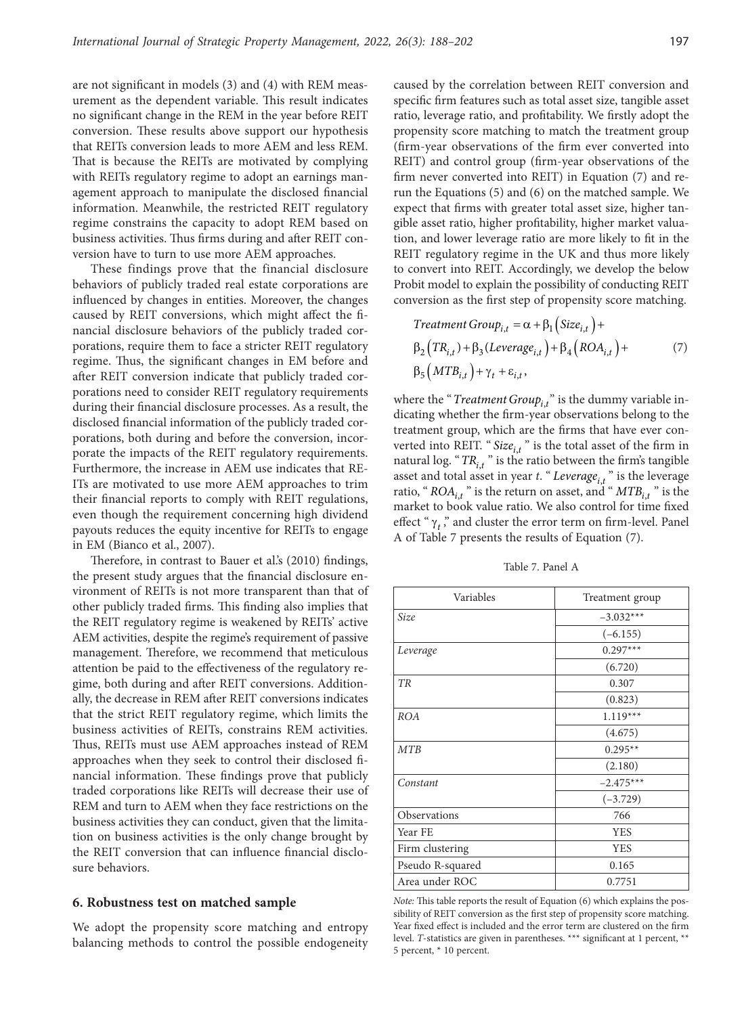are not significant in models (3) and (4) with REM measurement as the dependent variable. This result indicates no significant change in the REM in the year before REIT conversion. These results above support our hypothesis that REITs conversion leads to more AEM and less REM. That is because the REITs are motivated by complying with REITs regulatory regime to adopt an earnings management approach to manipulate the disclosed financial information. Meanwhile, the restricted REIT regulatory regime constrains the capacity to adopt REM based on business activities. Thus firms during and after REIT conversion have to turn to use more AEM approaches.

These findings prove that the financial disclosure behaviors of publicly traded real estate corporations are influenced by changes in entities. Moreover, the changes caused by REIT conversions, which might affect the financial disclosure behaviors of the publicly traded corporations, require them to face a stricter REIT regulatory regime. Thus, the significant changes in EM before and after REIT conversion indicate that publicly traded corporations need to consider REIT regulatory requirements during their financial disclosure processes. As a result, the disclosed financial information of the publicly traded corporations, both during and before the conversion, incorporate the impacts of the REIT regulatory requirements. Furthermore, the increase in AEM use indicates that RE-ITs are motivated to use more AEM approaches to trim their financial reports to comply with REIT regulations, even though the requirement concerning high dividend payouts reduces the equity incentive for REITs to engage in EM (Bianco et al., 2007).

Therefore, in contrast to Bauer et al.'s (2010) findings, the present study argues that the financial disclosure environment of REITs is not more transparent than that of other publicly traded firms. This finding also implies that the REIT regulatory regime is weakened by REITs' active AEM activities, despite the regime's requirement of passive management. Therefore, we recommend that meticulous attention be paid to the effectiveness of the regulatory regime, both during and after REIT conversions. Additionally, the decrease in REM after REIT conversions indicates that the strict REIT regulatory regime, which limits the business activities of REITs, constrains REM activities. Thus, REITs must use AEM approaches instead of REM approaches when they seek to control their disclosed financial information. These findings prove that publicly traded corporations like REITs will decrease their use of REM and turn to AEM when they face restrictions on the business activities they can conduct, given that the limitation on business activities is the only change brought by the REIT conversion that can influence financial disclosure behaviors.

#### **6. Robustness test on matched sample**

We adopt the propensity score matching and entropy balancing methods to control the possible endogeneity

caused by the correlation between REIT conversion and specific firm features such as total asset size, tangible asset ratio, leverage ratio, and profitability. We firstly adopt the propensity score matching to match the treatment group (firm-year observations of the firm ever converted into REIT) and control group (firm-year observations of the firm never converted into REIT) in Equation (7) and rerun the Equations (5) and (6) on the matched sample. We expect that firms with greater total asset size, higher tangible asset ratio, higher profitability, higher market valuation, and lower leverage ratio are more likely to fit in the REIT regulatory regime in the UK and thus more likely to convert into REIT. Accordingly, we develop the below Probit model to explain the possibility of conducting REIT conversion as the first step of propensity score matching.

$$
Treatment Group_{i,t} = \alpha + \beta_1 \left( Size_{i,t} \right) + \n\beta_2 \left( TR_{i,t} \right) + \beta_3 \left( Leverage_{i,t} \right) + \beta_4 \left( ROA_{i,t} \right) + \n\beta_5 \left( MTB_{i,t} \right) + \gamma_t + \varepsilon_{i,t},
$$
\n(7)

where the "*Treatment Group*<sub>i,t</sub>" is the dummy variable indicating whether the firm-year observations belong to the treatment group, which are the firms that have ever converted into REIT. "Size<sub>i,t</sub>" is the total asset of the firm in natural log. " $TR_{i,t}$ " is the ratio between the firm's tangible asset and total asset in year *t*. "*Leverage*<sub>*i*,*t*</sub>" is the leverage ratio, " $ROA_{i,t}$ " is the return on asset, and " $MTB_{i,t}$ " is the market to book value ratio. We also control for time fixed effect " $\gamma_t$ ," and cluster the error term on firm-level. Panel A of Table 7 presents the results of Equation (7).

Table 7. Panel A

| Variables        | Treatment group |
|------------------|-----------------|
| Size             | $-3.032***$     |
|                  | $(-6.155)$      |
| Leverage         | $0.297***$      |
|                  | (6.720)         |
| TR               | 0.307           |
|                  | (0.823)         |
| <b>ROA</b>       | $1.119***$      |
|                  | (4.675)         |
| <b>MTB</b>       | $0.295**$       |
|                  | (2.180)         |
| Constant         | $-2.475***$     |
|                  | $(-3.729)$      |
| Observations     | 766             |
| Year FE          | <b>YES</b>      |
| Firm clustering  | <b>YES</b>      |
| Pseudo R-squared | 0.165           |
| Area under ROC   | 0.7751          |

*Note:* This table reports the result of Equation (6) which explains the possibility of REIT conversion as the first step of propensity score matching. Year fixed effect is included and the error term are clustered on the firm level. *T*-statistics are given in parentheses. \*\*\* significant at 1 percent, \*\* 5 percent, \* 10 percent.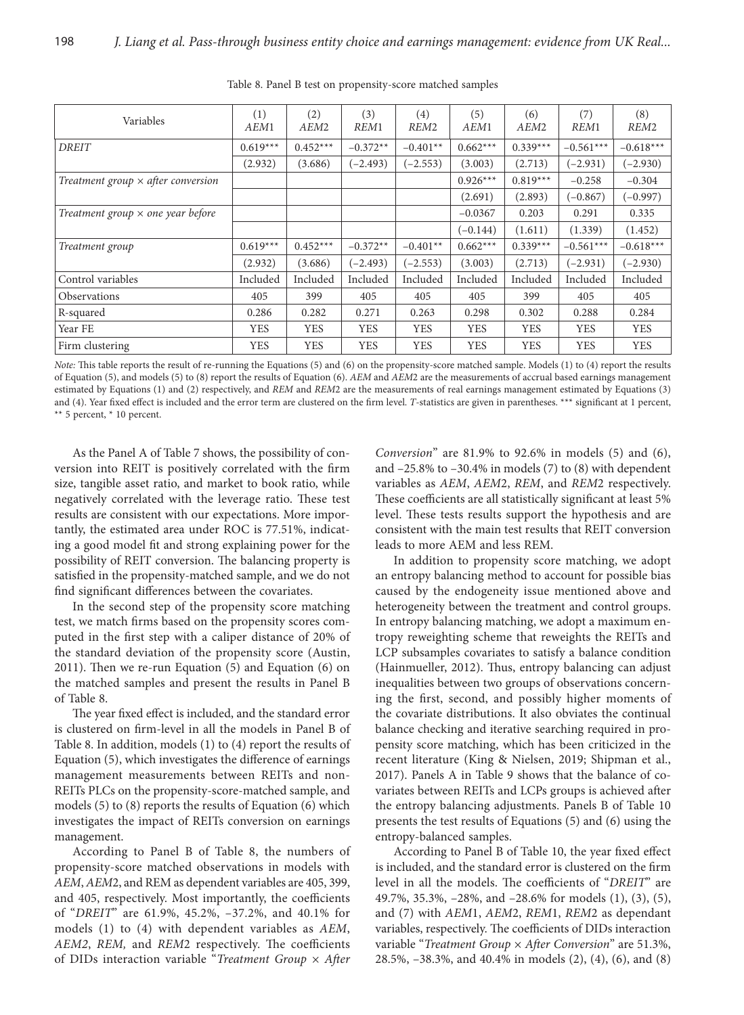| <b>Variables</b>                          | (1)<br>AEM1 | (2)<br>AEM <sub>2</sub> | (3)<br>REM <sub>1</sub> | (4)<br>REM <sub>2</sub> | (5)<br>AEM1 | (6)<br>AEM <sub>2</sub> | (7)<br>REM1 | (8)<br>REM <sub>2</sub> |
|-------------------------------------------|-------------|-------------------------|-------------------------|-------------------------|-------------|-------------------------|-------------|-------------------------|
| <b>DREIT</b>                              | $0.619***$  | $0.452***$              | $-0.372**$              | $-0.401**$              | $0.662***$  | $0.339***$              | $-0.561***$ | $-0.618***$             |
|                                           | (2.932)     | (3.686)                 | $(-2.493)$              | $(-2.553)$              | (3.003)     | (2.713)                 | $(-2.931)$  | $(-2.930)$              |
| Treatment group $\times$ after conversion |             |                         |                         |                         | $0.926***$  | $0.819***$              | $-0.258$    | $-0.304$                |
|                                           |             |                         |                         |                         | (2.691)     | (2.893)                 | $(-0.867)$  | $(-0.997)$              |
| Treatment group $\times$ one year before  |             |                         |                         |                         | $-0.0367$   | 0.203                   | 0.291       | 0.335                   |
|                                           |             |                         |                         |                         | $(-0.144)$  | (1.611)                 | (1.339)     | (1.452)                 |
| Treatment group                           | $0.619***$  | $0.452***$              | $-0.372**$              | $-0.401**$              | $0.662***$  | $0.339***$              | $-0.561***$ | $-0.618***$             |
|                                           | (2.932)     | (3.686)                 | $(-2.493)$              | $(-2.553)$              | (3.003)     | (2.713)                 | $(-2.931)$  | $(-2.930)$              |
| Control variables                         | Included    | Included                | Included                | Included                | Included    | Included                | Included    | Included                |
| <b>Observations</b>                       | 405         | 399                     | 405                     | 405                     | 405         | 399                     | 405         | 405                     |
| R-squared                                 | 0.286       | 0.282                   | 0.271                   | 0.263                   | 0.298       | 0.302                   | 0.288       | 0.284                   |
| Year FE                                   | <b>YES</b>  | <b>YES</b>              | <b>YES</b>              | <b>YES</b>              | <b>YES</b>  | <b>YES</b>              | <b>YES</b>  | <b>YES</b>              |
| Firm clustering                           | <b>YES</b>  | <b>YES</b>              | <b>YES</b>              | <b>YES</b>              | <b>YES</b>  | <b>YES</b>              | <b>YES</b>  | <b>YES</b>              |

Table 8. Panel B test on propensity-score matched samples

*Note:* This table reports the result of re-running the Equations (5) and (6) on the propensity-score matched sample. Models (1) to (4) report the results of Equation (5), and models (5) to (8) report the results of Equation (6). *AEM* and *AEM*2 are the measurements of accrual based earnings management estimated by Equations (1) and (2) respectively, and *REM* and *REM*2 are the measurements of real earnings management estimated by Equations (3) and (4). Year fixed effect is included and the error term are clustered on the firm level. *T*-statistics are given in parentheses. \*\*\* significant at 1 percent, \*\* 5 percent, \* 10 percent.

As the Panel A of Table 7 shows, the possibility of conversion into REIT is positively correlated with the firm size, tangible asset ratio, and market to book ratio, while negatively correlated with the leverage ratio. These test results are consistent with our expectations. More importantly, the estimated area under ROC is 77.51%, indicating a good model fit and strong explaining power for the possibility of REIT conversion. The balancing property is satisfied in the propensity-matched sample, and we do not find significant differences between the covariates.

In the second step of the propensity score matching test, we match firms based on the propensity scores computed in the first step with a caliper distance of 20% of the standard deviation of the propensity score (Austin, 2011). Then we re-run Equation (5) and Equation (6) on the matched samples and present the results in Panel B of Table 8.

The year fixed effect is included, and the standard error is clustered on firm-level in all the models in Panel B of Table 8. In addition, models (1) to (4) report the results of Equation (5), which investigates the difference of earnings management measurements between REITs and non-REITs PLCs on the propensity-score-matched sample, and models (5) to (8) reports the results of Equation (6) which investigates the impact of REITs conversion on earnings management.

According to Panel B of Table 8, the numbers of propensity-score matched observations in models with *AEM*, *AEM*2, and REM as dependent variables are 405, 399, and 405, respectively. Most importantly, the coefficients of "*DREIT*" are 61.9%, 45.2%, –37.2%, and 40.1% for models (1) to (4) with dependent variables as *AEM*, *AEM2*, *REM,* and *REM*2 respectively. The coefficients of DIDs interaction variable "*Treatment Group × After* 

*Conversion*" are 81.9% to 92.6% in models (5) and (6), and  $-25.8\%$  to  $-30.4\%$  in models (7) to (8) with dependent variables as *AEM*, *AEM*2, *REM*, and *REM*2 respectively. These coefficients are all statistically significant at least 5% level. These tests results support the hypothesis and are consistent with the main test results that REIT conversion leads to more AEM and less REM.

In addition to propensity score matching, we adopt an entropy balancing method to account for possible bias caused by the endogeneity issue mentioned above and heterogeneity between the treatment and control groups. In entropy balancing matching, we adopt a maximum entropy reweighting scheme that reweights the REITs and LCP subsamples covariates to satisfy a balance condition (Hainmueller, 2012). Thus, entropy balancing can adjust inequalities between two groups of observations concerning the first, second, and possibly higher moments of the covariate distributions. It also obviates the continual balance checking and iterative searching required in propensity score matching, which has been criticized in the recent literature (King & Nielsen, 2019; Shipman et al., 2017). Panels A in Table 9 shows that the balance of covariates between REITs and LCPs groups is achieved after the entropy balancing adjustments. Panels B of Table 10 presents the test results of Equations (5) and (6) using the entropy-balanced samples.

According to Panel B of Table 10, the year fixed effect is included, and the standard error is clustered on the firm level in all the models. The coefficients of "*DREIT*" are 49.7%, 35.3%, –28%, and –28.6% for models (1), (3), (5), and (7) with *AEM*1, *AEM*2, *REM*1, *REM*2 as dependant variables, respectively. The coefficients of DIDs interaction variable "*Treatment Group × After Conversion*" are 51.3%, 28.5%, –38.3%, and 40.4% in models (2), (4), (6), and (8)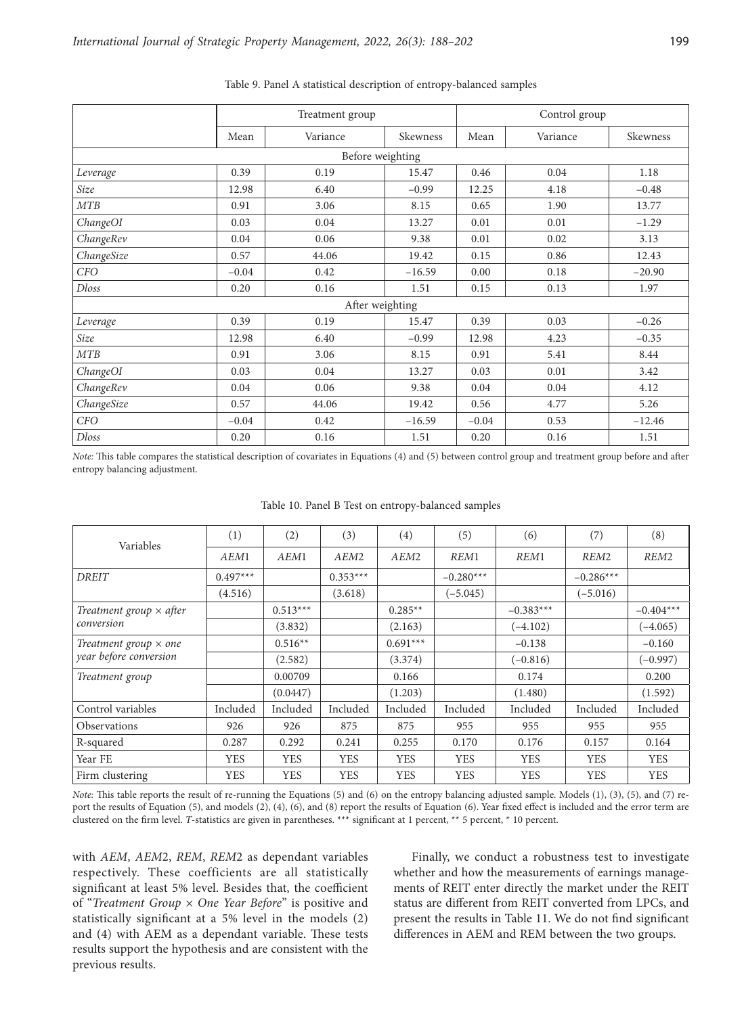|              |         | Treatment group  |          |                 | Control group |          |
|--------------|---------|------------------|----------|-----------------|---------------|----------|
|              | Mean    | Variance         | Skewness | Mean            | Variance      | Skewness |
|              |         | Before weighting |          |                 |               |          |
| Leverage     | 0.39    | 0.19             | 15.47    | 0.46            | 0.04          | 1.18     |
| Size         | 12.98   | 6.40             | $-0.99$  | 12.25           | 4.18          | $-0.48$  |
| MTB          | 0.91    | 3.06             | 8.15     | 0.65            | 1.90          | 13.77    |
| ChangeOI     | 0.03    | 0.04             | 13.27    | 0.01            | 0.01          | $-1.29$  |
| ChangeRev    | 0.04    | 0.06             | 9.38     | 0.01            | 0.02          | 3.13     |
| ChangeSize   | 0.57    | 44.06            | 19.42    | 0.15            | 0.86          | 12.43    |
| <b>CFO</b>   | $-0.04$ | 0.42             | $-16.59$ | 0.00            | 0.18          | $-20.90$ |
| <b>Dloss</b> | 0.20    | 0.16             | 1.51     | 0.15            | 0.13          | 1.97     |
|              |         | After weighting  |          |                 |               |          |
| Leverage     | 0.39    | 0.19             | 15.47    | 0.39            | 0.03          | $-0.26$  |
| Size         | 12.98   | 6.40             | $-0.99$  | 12.98           | 4.23          | $-0.35$  |
| <b>MTB</b>   | 0.91    | 3.06             | 8.15     | 0.91            | 5.41          | 8.44     |
| ChangeOI     | 0.03    | 0.04             | 13.27    | 0.03            | 0.01          | 3.42     |
| ChangeRev    | 0.04    | 0.06             | 9.38     | 0.04            | 0.04          | 4.12     |
| ChangeSize   | 0.57    | 44.06            | 19.42    | 0.56            | 4.77          | 5.26     |
| <b>CFO</b>   | $-0.04$ | 0.42             | $-16.59$ | 0.53<br>$-0.04$ |               | $-12.46$ |
| <b>Dloss</b> | 0.20    | 0.16             | 1.51     | 0.20            | 0.16          | 1.51     |

#### Table 9. Panel A statistical description of entropy-balanced samples

*Note:* This table compares the statistical description of covariates in Equations (4) and (5) between control group and treatment group before and after entropy balancing adjustment.

Table 10. Panel B Test on entropy-balanced samples

| Variables                      | (1)        | (2)        | (3)              | (4)              | (5)         | (6)         | (7)              | (8)              |
|--------------------------------|------------|------------|------------------|------------------|-------------|-------------|------------------|------------------|
|                                | AEM1       | AEM1       | AEM <sub>2</sub> | AEM <sub>2</sub> | REM1        | REM1        | REM <sub>2</sub> | REM <sub>2</sub> |
| <b>DREIT</b>                   | $0.497***$ |            | $0.353***$       |                  | $-0.280***$ |             | $-0.286***$      |                  |
|                                | (4.516)    |            | (3.618)          |                  | $(-5.045)$  |             | $(-5.016)$       |                  |
| Treatment group $\times$ after |            | $0.513***$ |                  | $0.285**$        |             | $-0.383***$ |                  | $-0.404***$      |
| conversion                     |            | (3.832)    |                  | (2.163)          |             | $(-4.102)$  |                  | $(-4.065)$       |
| Treatment group $\times$ one   |            | $0.516**$  |                  | $0.691***$       |             | $-0.138$    |                  | $-0.160$         |
| year before conversion         |            | (2.582)    |                  | (3.374)          |             | $(-0.816)$  |                  | $(-0.997)$       |
| Treatment group                |            | 0.00709    |                  | 0.166            |             | 0.174       |                  | 0.200            |
|                                |            | (0.0447)   |                  | (1.203)          |             | (1.480)     |                  | (1.592)          |
| Control variables              | Included   | Included   | Included         | Included         | Included    | Included    | Included         | Included         |
| Observations                   | 926        | 926        | 875              | 875              | 955         | 955         | 955              | 955              |
| R-squared                      | 0.287      | 0.292      | 0.241            | 0.255            | 0.170       | 0.176       | 0.157            | 0.164            |
| Year FE                        | <b>YES</b> | <b>YES</b> | <b>YES</b>       | <b>YES</b>       | <b>YES</b>  | <b>YES</b>  | <b>YES</b>       | <b>YES</b>       |
| Firm clustering                | <b>YES</b> | <b>YES</b> | <b>YES</b>       | <b>YES</b>       | <b>YES</b>  | <b>YES</b>  | <b>YES</b>       | <b>YES</b>       |

*Note:* This table reports the result of re-running the Equations (5) and (6) on the entropy balancing adjusted sample. Models (1), (3), (5), and (7) report the results of Equation (5), and models (2), (4), (6), and (8) report the results of Equation (6). Year fixed effect is included and the error term are clustered on the firm level. *T*-statistics are given in parentheses. \*\*\* significant at 1 percent, \*\* 5 percent, \* 10 percent.

with *AEM*, *AEM*2, *REM*, *REM*2 as dependant variables respectively. These coefficients are all statistically significant at least 5% level. Besides that, the coefficient of "*Treatment Group × One Year Before*" is positive and statistically significant at a 5% level in the models (2) and (4) with AEM as a dependant variable. These tests results support the hypothesis and are consistent with the previous results.

Finally, we conduct a robustness test to investigate whether and how the measurements of earnings managements of REIT enter directly the market under the REIT status are different from REIT converted from LPCs, and present the results in Table 11. We do not find significant differences in AEM and REM between the two groups.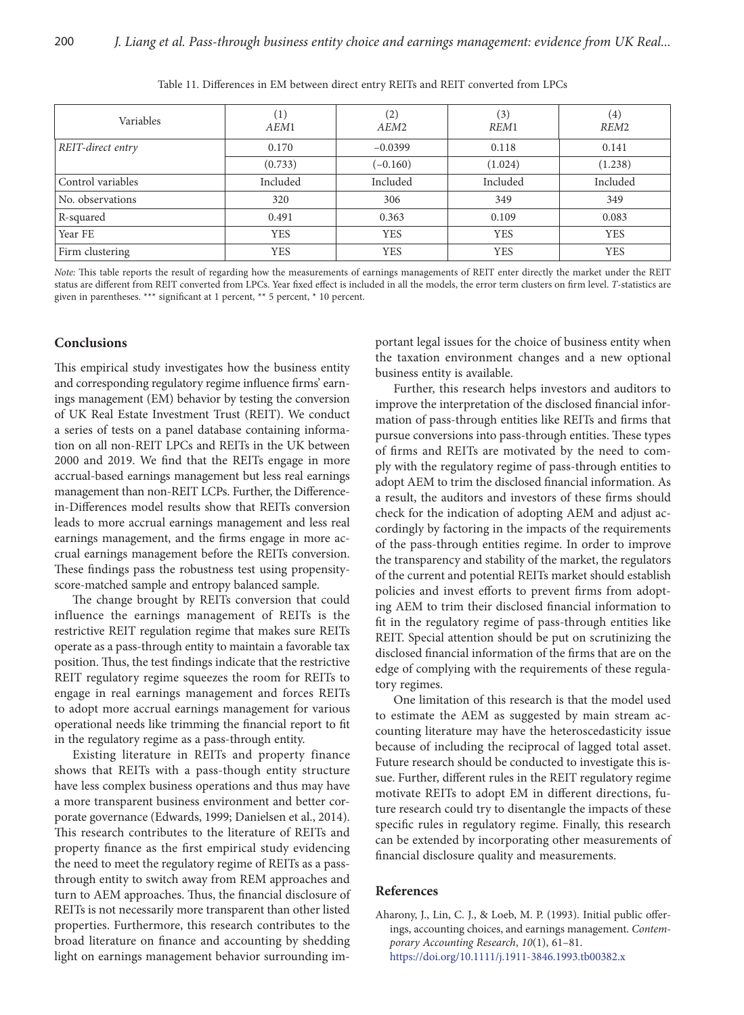| Variables         | $\left( \frac{1}{2} \right)$<br>AEM1 | (2)<br>AEM <sub>2</sub> | (3)<br>REM1 | $\left( 4\right)$<br>REM <sub>2</sub> |
|-------------------|--------------------------------------|-------------------------|-------------|---------------------------------------|
| REIT-direct entry | 0.170                                | $-0.0399$               | 0.118       | 0.141                                 |
|                   | (0.733)                              | $(-0.160)$              | (1.024)     | (1.238)                               |
| Control variables | Included                             | Included                | Included    | Included                              |
| No. observations  | 320                                  | 306                     | 349         | 349                                   |
| R-squared         | 0.491                                | 0.363                   | 0.109       | 0.083                                 |
| Year FE           | <b>YES</b>                           | <b>YES</b>              | <b>YES</b>  | <b>YES</b>                            |
| Firm clustering   | <b>YES</b>                           | <b>YES</b>              | <b>YES</b>  | <b>YES</b>                            |

Table 11. Differences in EM between direct entry REITs and REIT converted from LPCs

*Note:* This table reports the result of regarding how the measurements of earnings managements of REIT enter directly the market under the REIT status are different from REIT converted from LPCs. Year fixed effect is included in all the models, the error term clusters on firm level. *T*-statistics are given in parentheses. \*\*\* significant at 1 percent, \*\* 5 percent, \* 10 percent.

### **Conclusions**

This empirical study investigates how the business entity and corresponding regulatory regime influence firms' earnings management (EM) behavior by testing the conversion of UK Real Estate Investment Trust (REIT). We conduct a series of tests on a panel database containing information on all non-REIT LPCs and REITs in the UK between 2000 and 2019. We find that the REITs engage in more accrual-based earnings management but less real earnings management than non-REIT LCPs. Further, the Differencein-Differences model results show that REITs conversion leads to more accrual earnings management and less real earnings management, and the firms engage in more accrual earnings management before the REITs conversion. These findings pass the robustness test using propensityscore-matched sample and entropy balanced sample.

The change brought by REITs conversion that could influence the earnings management of REITs is the restrictive REIT regulation regime that makes sure REITs operate as a pass-through entity to maintain a favorable tax position. Thus, the test findings indicate that the restrictive REIT regulatory regime squeezes the room for REITs to engage in real earnings management and forces REITs to adopt more accrual earnings management for various operational needs like trimming the financial report to fit in the regulatory regime as a pass-through entity.

Existing literature in REITs and property finance shows that REITs with a pass-though entity structure have less complex business operations and thus may have a more transparent business environment and better corporate governance (Edwards, 1999; Danielsen et al., 2014). This research contributes to the literature of REITs and property finance as the first empirical study evidencing the need to meet the regulatory regime of REITs as a passthrough entity to switch away from REM approaches and turn to AEM approaches. Thus, the financial disclosure of REITs is not necessarily more transparent than other listed properties. Furthermore, this research contributes to the broad literature on finance and accounting by shedding light on earnings management behavior surrounding important legal issues for the choice of business entity when the taxation environment changes and a new optional business entity is available.

Further, this research helps investors and auditors to improve the interpretation of the disclosed financial information of pass-through entities like REITs and firms that pursue conversions into pass-through entities. These types of firms and REITs are motivated by the need to comply with the regulatory regime of pass-through entities to adopt AEM to trim the disclosed financial information. As a result, the auditors and investors of these firms should check for the indication of adopting AEM and adjust accordingly by factoring in the impacts of the requirements of the pass-through entities regime. In order to improve the transparency and stability of the market, the regulators of the current and potential REITs market should establish policies and invest efforts to prevent firms from adopting AEM to trim their disclosed financial information to fit in the regulatory regime of pass-through entities like REIT. Special attention should be put on scrutinizing the disclosed financial information of the firms that are on the edge of complying with the requirements of these regulatory regimes.

One limitation of this research is that the model used to estimate the AEM as suggested by main stream accounting literature may have the heteroscedasticity issue because of including the reciprocal of lagged total asset. Future research should be conducted to investigate this issue. Further, different rules in the REIT regulatory regime motivate REITs to adopt EM in different directions, future research could try to disentangle the impacts of these specific rules in regulatory regime. Finally, this research can be extended by incorporating other measurements of financial disclosure quality and measurements.

# **References**

Aharony, J., Lin, C. J., & Loeb, M. P. (1993). Initial public offerings, accounting choices, and earnings management. *Contemporary Accounting Research*, *10*(1), 61–81. <https://doi.org/10.1111/j.1911-3846.1993.tb00382.x>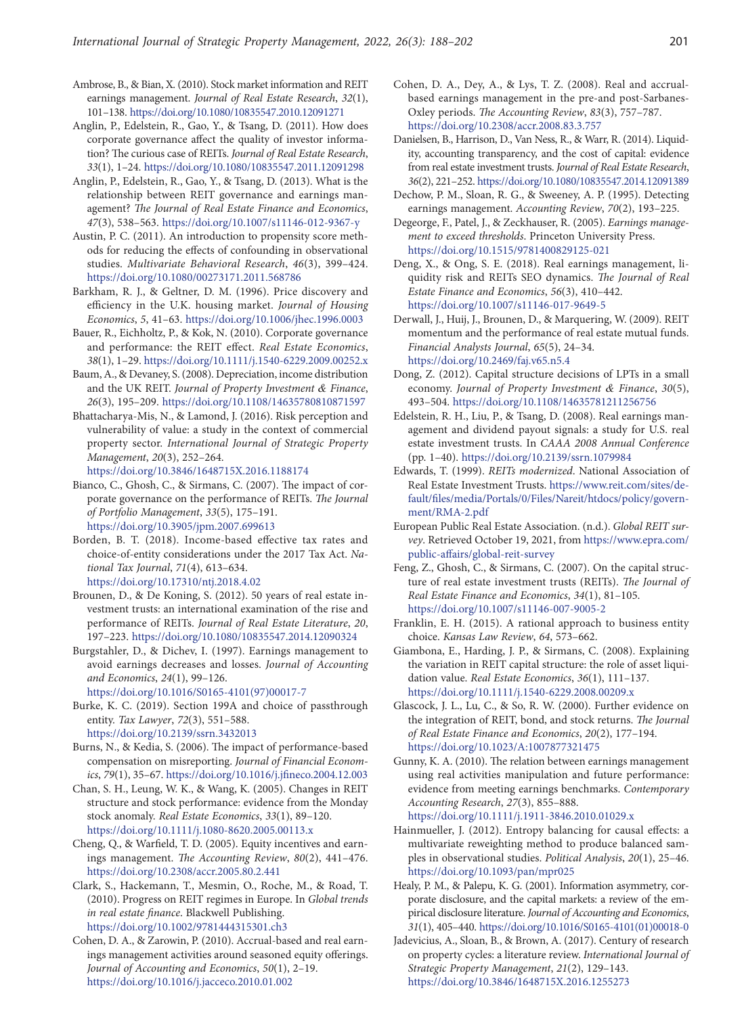- Ambrose, B., & Bian, X. (2010). Stock market information and REIT earnings management. *Journal of Real Estate Research*, *32*(1), 101–138. <https://doi.org/10.1080/10835547.2010.12091271>
- Anglin, P., Edelstein, R., Gao, Y., & Tsang, D. (2011). How does corporate governance affect the quality of investor information? The curious case of REITs. *Journal of Real Estate Research*, *33*(1), 1–24. <https://doi.org/10.1080/10835547.2011.12091298>
- Anglin, P., Edelstein, R., Gao, Y., & Tsang, D. (2013). What is the relationship between REIT governance and earnings management? *The Journal of Real Estate Finance and Economics*, *47*(3), 538–563. <https://doi.org/10.1007/s11146-012-9367-y>
- Austin, P. C. (2011). An introduction to propensity score methods for reducing the effects of confounding in observational studies. *Multivariate Behavioral Research*, *46*(3), 399–424. <https://doi.org/10.1080/00273171.2011.568786>
- Barkham, R. J., & Geltner, D. M. (1996). Price discovery and efficiency in the U.K. housing market. *Journal of Housing Economics*, *5*, 41–63. <https://doi.org/10.1006/jhec.1996.0003>
- Bauer, R., Eichholtz, P., & Kok, N. (2010). Corporate governance and performance: the REIT effect. *Real Estate Economics*, *38*(1), 1–29. <https://doi.org/10.1111/j.1540-6229.2009.00252.x>
- Baum, A., & Devaney, S. (2008). Depreciation, income distribution and the UK REIT. *Journal of Property Investment & Finance*, *26*(3), 195–209. <https://doi.org/10.1108/14635780810871597>
- Bhattacharya-Mis, N., & Lamond, J. (2016). Risk perception and vulnerability of value: a study in the context of commercial property sector. *International Journal of Strategic Property Management*, *20*(3), 252–264.

<https://doi.org/10.3846/1648715X.2016.1188174>

Bianco, C., Ghosh, C., & Sirmans, C. (2007). The impact of corporate governance on the performance of REITs. *The Journal of Portfolio Management*, *33*(5), 175–191. <https://doi.org/10.3905/jpm.2007.699613>

- Borden, B. T. (2018). Income-based effective tax rates and choice-of-entity considerations under the 2017 Tax Act. *National Tax Journal*, *71*(4), 613–634. <https://doi.org/10.17310/ntj.2018.4.02>
- Brounen, D., & De Koning, S. (2012). 50 years of real estate investment trusts: an international examination of the rise and performance of REITs. *Journal of Real Estate Literature*, *20*, 197–223. <https://doi.org/10.1080/10835547.2014.12090324>
- Burgstahler, D., & Dichev, I. (1997). Earnings management to avoid earnings decreases and losses. *Journal of Accounting and Economics*, *24*(1), 99–126. [https://doi.org/10.1016/S0165-4101\(97\)00017-7](https://doi.org/10.1016/S0165-4101(97)00017-7)
- Burke, K. C. (2019). Section 199A and choice of passthrough entity. *Tax Lawyer*, *72*(3), 551–588. <https://doi.org/10.2139/ssrn.3432013>
- Burns, N., & Kedia, S. (2006). The impact of performance-based compensation on misreporting. *Journal of Financial Economics*, *79*(1), 35–67. <https://doi.org/10.1016/j.jfineco.2004.12.003>
- Chan, S. H., Leung, W. K., & Wang, K. (2005). Changes in REIT structure and stock performance: evidence from the Monday stock anomaly. *Real Estate Economics*, *33*(1), 89–120. <https://doi.org/10.1111/j.1080-8620.2005.00113.x>
- Cheng, Q., & Warfield, T. D. (2005). Equity incentives and earnings management. *The Accounting Review*, *80*(2), 441–476. <https://doi.org/10.2308/accr.2005.80.2.441>
- Clark, S., Hackemann, T., Mesmin, O., Roche, M., & Road, T. (2010). Progress on REIT regimes in Europe. In *Global trends in real estate finance*. Blackwell Publishing. <https://doi.org/10.1002/9781444315301.ch3>
- Cohen, D. A., & Zarowin, P. (2010). Accrual-based and real earnings management activities around seasoned equity offerings. *Journal of Accounting and Economics*, *50*(1), 2–19. <https://doi.org/10.1016/j.jacceco.2010.01.002>
- Cohen, D. A., Dey, A., & Lys, T. Z. (2008). Real and accrualbased earnings management in the pre‐and post‐Sarbanes‐ Oxley periods. *The Accounting Review*, *83*(3), 757–787. <https://doi.org/10.2308/accr.2008.83.3.757>
- Danielsen, B., Harrison, D., Van Ness, R., & Warr, R. (2014). Liquidity, accounting transparency, and the cost of capital: evidence from real estate investment trusts. *Journal of Real Estate Research*, *36*(2), 221–252.<https://doi.org/10.1080/10835547.2014.12091389>
- Dechow, P. M., Sloan, R. G., & Sweeney, A. P. (1995). Detecting earnings management. *Accounting Review*, *70*(2), 193–225.
- Degeorge, F., Patel, J., & Zeckhauser, R. (2005). *Earnings management to exceed thresholds*. Princeton University Press. <https://doi.org/10.1515/9781400829125-021>
- Deng, X., & Ong, S. E. (2018). Real earnings management, liquidity risk and REITs SEO dynamics. *The Journal of Real Estate Finance and Economics*, *56*(3), 410–442. <https://doi.org/10.1007/s11146-017-9649-5>
- Derwall, J., Huij, J., Brounen, D., & Marquering, W. (2009). REIT momentum and the performance of real estate mutual funds. *Financial Analysts Journal*, *65*(5), 24–34. <https://doi.org/10.2469/faj.v65.n5.4>
- Dong, Z. (2012). Capital structure decisions of LPTs in a small economy. *Journal of Property Investment & Finance*, *30*(5), 493–504. <https://doi.org/10.1108/14635781211256756>
- Edelstein, R. H., Liu, P., & Tsang, D. (2008). Real earnings management and dividend payout signals: a study for U.S. real estate investment trusts. In *CAAA 2008 Annual Conference*  (pp. 1–40). <https://doi.org/10.2139/ssrn.1079984>
- Edwards, T. (1999). *REITs modernized*. National Association of Real Estate Investment Trusts. [https://www.reit.com/sites/de](https://www.reit.com/sites/default/files/media/Portals/0/Files/Nareit/htdocs/policy/government/RMA-2.pdf)[fault/files/media/Portals/0/Files/Nareit/htdocs/policy/govern](https://www.reit.com/sites/default/files/media/Portals/0/Files/Nareit/htdocs/policy/government/RMA-2.pdf)[ment/RMA-2.pdf](https://www.reit.com/sites/default/files/media/Portals/0/Files/Nareit/htdocs/policy/government/RMA-2.pdf)
- European Public Real Estate Association. (n.d.). *Global REIT survey*. Retrieved October 19, 2021, from [https://www.epra.com/](https://www.epra.com/public-affairs/global-reit-survey) [public-affairs/global-reit-survey](https://www.epra.com/public-affairs/global-reit-survey)
- Feng, Z., Ghosh, C., & Sirmans, C. (2007). On the capital structure of real estate investment trusts (REITs). *The Journal of Real Estate Finance and Economics*, *34*(1), 81–105. <https://doi.org/10.1007/s11146-007-9005-2>
- Franklin, E. H. (2015). A rational approach to business entity choice. *Kansas Law Review*, *64*, 573–662.
- Giambona, E., Harding, J. P., & Sirmans, C. (2008). Explaining the variation in REIT capital structure: the role of asset liquidation value. *Real Estate Economics*, *36*(1), 111–137. <https://doi.org/10.1111/j.1540-6229.2008.00209.x>
- Glascock, J. L., Lu, C., & So, R. W. (2000). Further evidence on the integration of REIT, bond, and stock returns. *The Journal of Real Estate Finance and Economics*, *20*(2), 177–194. <https://doi.org/10.1023/A:1007877321475>
- Gunny, K. A. (2010). The relation between earnings management using real activities manipulation and future performance: evidence from meeting earnings benchmarks. *Contemporary Accounting Research*, *27*(3), 855–888.
	- <https://doi.org/10.1111/j.1911-3846.2010.01029.x>
- Hainmueller, J. (2012). Entropy balancing for causal effects: a multivariate reweighting method to produce balanced samples in observational studies. *Political Analysis*, *20*(1), 25–46. <https://doi.org/10.1093/pan/mpr025>
- Healy, P. M., & Palepu, K. G. (2001). Information asymmetry, corporate disclosure, and the capital markets: a review of the empirical disclosure literature. *Journal of Accounting and Economics*, *31*(1), 405–440. [https://doi.org/10.1016/S0165-4101\(01\)00018-0](https://doi.org/10.1016/S0165-4101(01)00018-0)
- Jadevicius, A., Sloan, B., & Brown, A. (2017). Century of research on property cycles: a literature review. *International Journal of Strategic Property Management*, *21*(2), 129–143. <https://doi.org/10.3846/1648715X.2016.1255273>